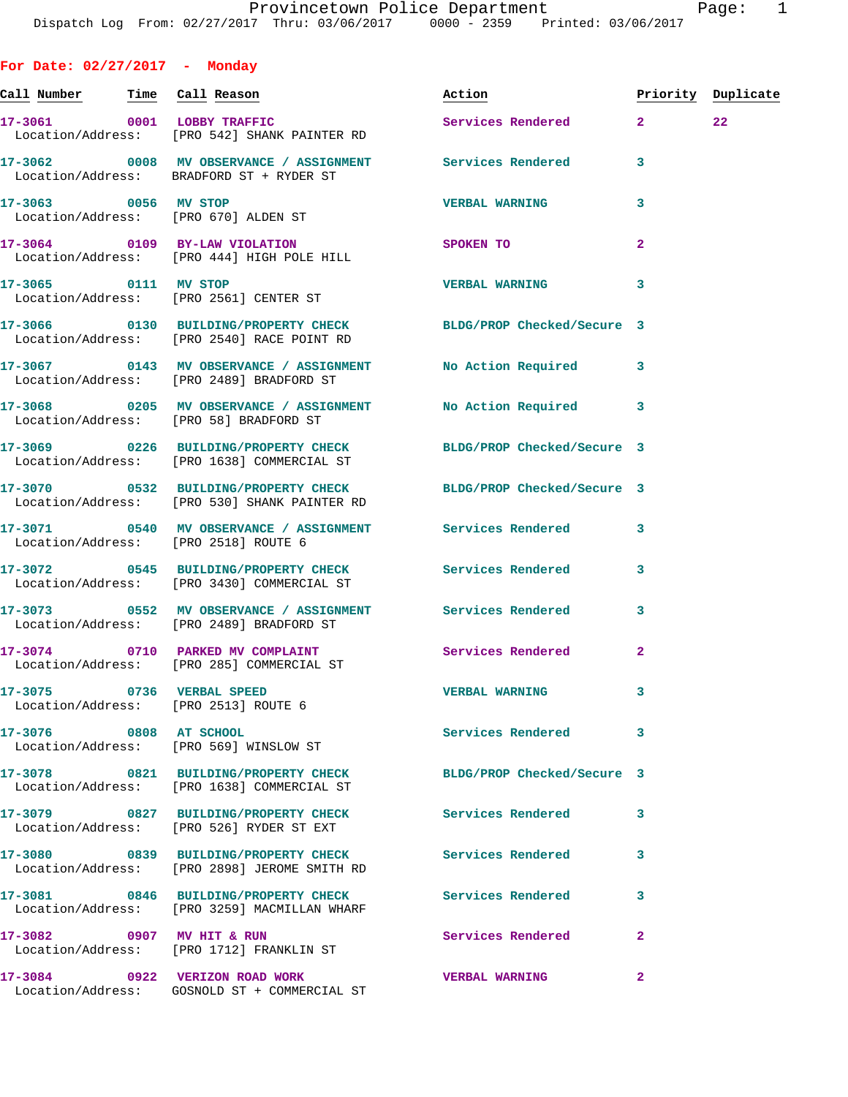**For Date: 02/27/2017 - Monday Call Number Time Call Reason Action Priority Duplicate 17-3061 0001 LOBBY TRAFFIC Services Rendered 2 22**  Location/Address: [PRO 542] SHANK PAINTER RD **17-3062 0008 MV OBSERVANCE / ASSIGNMENT Services Rendered 3**  Location/Address: BRADFORD ST + RYDER ST **17-3063 0056 MV STOP VERBAL WARNING 3**  Location/Address: [PRO 670] ALDEN ST **17-3064 0109 BY-LAW VIOLATION SPOKEN TO 2**  Location/Address: [PRO 444] HIGH POLE HILL **17-3065 0111 MV STOP VERBAL WARNING 3**  Location/Address: [PRO 2561] CENTER ST **17-3066 0130 BUILDING/PROPERTY CHECK BLDG/PROP Checked/Secure 3**  Location/Address: [PRO 2540] RACE POINT RD **17-3067 0143 MV OBSERVANCE / ASSIGNMENT No Action Required 3**  Location/Address: [PRO 2489] BRADFORD ST **17-3068 0205 MV OBSERVANCE / ASSIGNMENT No Action Required 3**  Location/Address: [PRO 58] BRADFORD ST **17-3069 0226 BUILDING/PROPERTY CHECK BLDG/PROP Checked/Secure 3**  Location/Address: [PRO 1638] COMMERCIAL ST **17-3070 0532 BUILDING/PROPERTY CHECK BLDG/PROP Checked/Secure 3**  Location/Address: [PRO 530] SHANK PAINTER RD **17-3071 0540 MV OBSERVANCE / ASSIGNMENT Services Rendered 3**  Location/Address: [PRO 2518] ROUTE 6 **17-3072 0545 BUILDING/PROPERTY CHECK Services Rendered 3**  Location/Address: [PRO 3430] COMMERCIAL ST **17-3073 0552 MV OBSERVANCE / ASSIGNMENT Services Rendered 3**  Location/Address: [PRO 2489] BRADFORD ST 17-3074 0710 PARKED MV COMPLAINT **Services Rendered** 2 Location/Address: [PRO 285] COMMERCIAL ST **17-3075 0736 VERBAL SPEED VERBAL WARNING 3**  Location/Address: [PRO 2513] ROUTE 6 **17-3076 0808 AT SCHOOL Services Rendered 3**  Location/Address: [PRO 569] WINSLOW ST **17-3078 0821 BUILDING/PROPERTY CHECK BLDG/PROP Checked/Secure 3**  Location/Address: [PRO 1638] COMMERCIAL ST **17-3079 0827 BUILDING/PROPERTY CHECK Services Rendered 3**  Location/Address: [PRO 526] RYDER ST EXT **17-3080 0839 BUILDING/PROPERTY CHECK Services Rendered 3**  Location/Address: [PRO 2898] JEROME SMITH RD **17-3081 0846 BUILDING/PROPERTY CHECK Services Rendered 3**  Location/Address: [PRO 3259] MACMILLAN WHARF

**17-3082 0907 MV HIT & RUN Services Rendered 2**  Location/Address: [PRO 1712] FRANKLIN ST

**17-3084 0922 VERIZON ROAD WORK VERBAL WARNING 2**  Location/Address: GOSNOLD ST + COMMERCIAL ST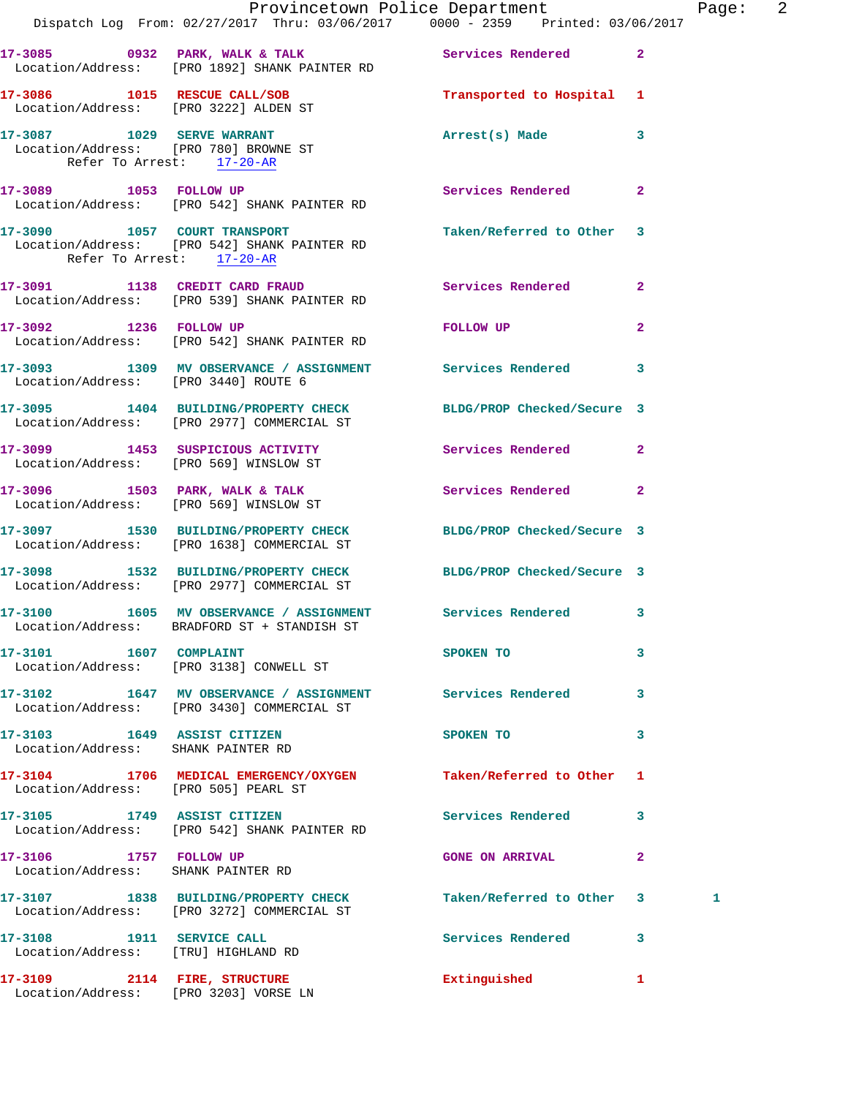|                                                                                                  | Dispatch Log From: 02/27/2017 Thru: 03/06/2017 0000 - 2359 Printed: 03/06/2017                                | Provincetown Police Department |                | Page: 2 |  |
|--------------------------------------------------------------------------------------------------|---------------------------------------------------------------------------------------------------------------|--------------------------------|----------------|---------|--|
|                                                                                                  | 17-3085 0932 PARK, WALK & TALK Services Rendered 2                                                            |                                |                |         |  |
|                                                                                                  | Location/Address: [PRO 1892] SHANK PAINTER RD                                                                 |                                |                |         |  |
|                                                                                                  | 17-3086 1015 RESCUE CALL/SOB<br>Location/Address: [PRO 3222] ALDEN ST                                         | Transported to Hospital 1      |                |         |  |
| 17-3087 1029 SERVE WARRANT<br>Location/Address: [PRO 780] BROWNE ST<br>Refer To Arrest: 17-20-AR |                                                                                                               | Arrest(s) Made 3               |                |         |  |
|                                                                                                  | 17-3089 1053 FOLLOW UP<br>Location/Address: [PRO 542] SHANK PAINTER RD                                        | Services Rendered 2            |                |         |  |
|                                                                                                  | 17-3090 1057 COURT TRANSPORT<br>Location/Address: [PRO 542] SHANK PAINTER RD<br>Refer To Arrest: 17-20-AR     | Taken/Referred to Other 3      |                |         |  |
|                                                                                                  | 17-3091 1138 CREDIT CARD FRAUD<br>Location/Address: [PRO 539] SHANK PAINTER RD                                | Services Rendered              | $\mathbf{2}$   |         |  |
|                                                                                                  | 17-3092 1236 FOLLOW UP<br>Location/Address: [PRO 542] SHANK PAINTER RD                                        | FOLLOW UP                      | $\overline{2}$ |         |  |
| Location/Address: [PRO 3440] ROUTE 6                                                             | 17-3093 1309 MV OBSERVANCE / ASSIGNMENT Services Rendered 3                                                   |                                |                |         |  |
|                                                                                                  | 17-3095 1404 BUILDING/PROPERTY CHECK BLDG/PROP Checked/Secure 3<br>Location/Address: [PRO 2977] COMMERCIAL ST |                                |                |         |  |
| Location/Address: [PRO 569] WINSLOW ST                                                           | 17-3099 1453 SUSPICIOUS ACTIVITY                                                                              | Services Rendered 2            |                |         |  |
|                                                                                                  | 17-3096 1503 PARK, WALK & TALK<br>Location/Address: [PRO 569] WINSLOW ST                                      | Services Rendered 2            |                |         |  |
|                                                                                                  | 17-3097 1530 BUILDING/PROPERTY CHECK BLDG/PROP Checked/Secure 3<br>Location/Address: [PRO 1638] COMMERCIAL ST |                                |                |         |  |
|                                                                                                  | 17-3098 1532 BUILDING/PROPERTY CHECK<br>Location/Address: [PRO 2977] COMMERCIAL ST                            | BLDG/PROP Checked/Secure 3     |                |         |  |
|                                                                                                  | 17-3100 1605 MV OBSERVANCE / ASSIGNMENT Services Rendered 3<br>Location/Address: BRADFORD ST + STANDISH ST    |                                |                |         |  |
| 17-3101 1607 COMPLAINT                                                                           | Location/Address: [PRO 3138] CONWELL ST                                                                       | SPOKEN TO                      | 3              |         |  |
|                                                                                                  | 17-3102 1647 MV OBSERVANCE / ASSIGNMENT Services Rendered 3<br>Location/Address: [PRO 3430] COMMERCIAL ST     |                                |                |         |  |
| 17-3103 1649 ASSIST CITIZEN<br>Location/Address: SHANK PAINTER RD                                |                                                                                                               | SPOKEN TO                      | 3              |         |  |
| Location/Address: [PRO 505] PEARL ST                                                             | 17-3104 1706 MEDICAL EMERGENCY/OXYGEN                                                                         | Taken/Referred to Other 1      |                |         |  |
|                                                                                                  | 17-3105 1749 ASSIST CITIZEN<br>Location/Address: [PRO 542] SHANK PAINTER RD                                   | Services Rendered 3            |                |         |  |
| 17-3106 1757 FOLLOW UP<br>Location/Address: SHANK PAINTER RD                                     |                                                                                                               | <b>GONE ON ARRIVAL</b>         | $\mathbf{2}$   |         |  |
|                                                                                                  | 17-3107 1838 BUILDING/PROPERTY CHECK<br>Location/Address: [PRO 3272] COMMERCIAL ST                            | Taken/Referred to Other 3      |                | 1       |  |
| 17-3108 1911 SERVICE CALL<br>Location/Address: [TRU] HIGHLAND RD                                 |                                                                                                               | Services Rendered 3            |                |         |  |
| 17-3109 2114 FIRE, STRUCTURE<br>Location/Address: [PRO 3203] VORSE LN                            |                                                                                                               | Extinguished                   | 1              |         |  |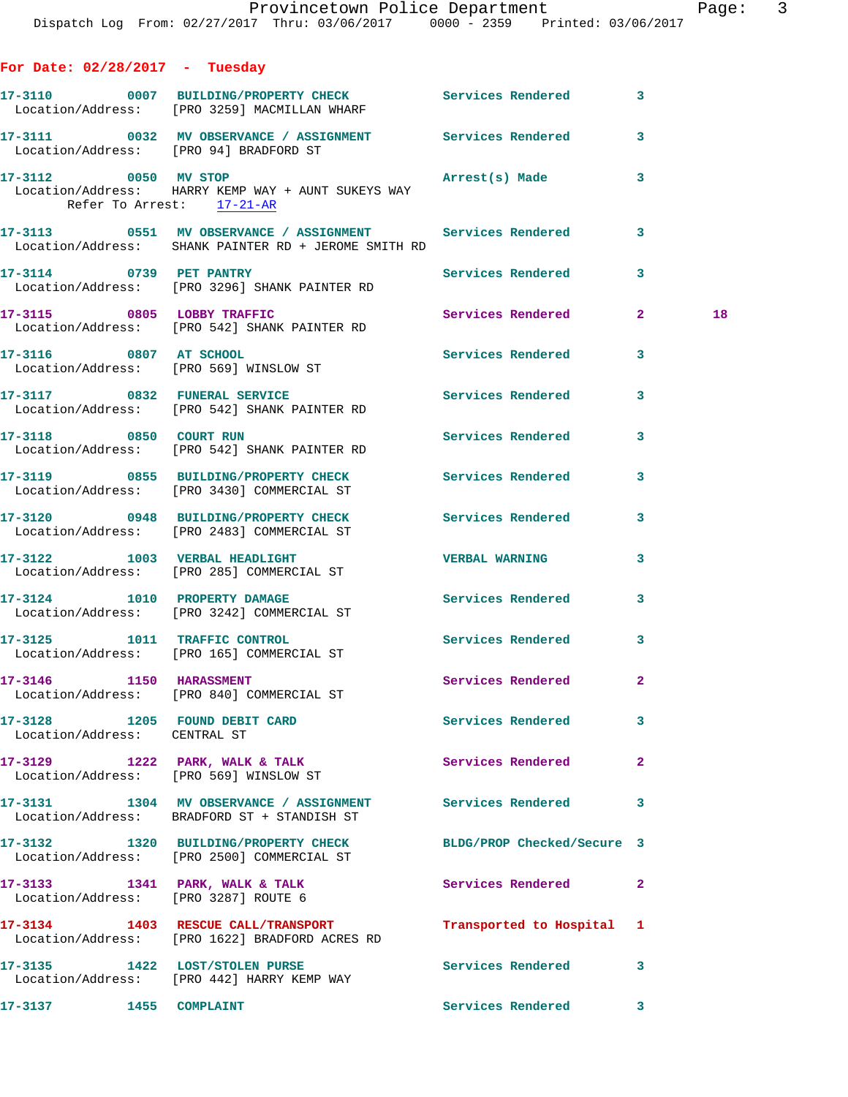| aqe? |  |  |
|------|--|--|
|      |  |  |
|      |  |  |
|      |  |  |

| For Date: $02/28/2017$ - Tuesday                  |                                                                                                                     |                            |              |  |
|---------------------------------------------------|---------------------------------------------------------------------------------------------------------------------|----------------------------|--------------|--|
|                                                   | 17-3110 0007 BUILDING/PROPERTY CHECK Services Rendered 3<br>Location/Address: [PRO 3259] MACMILLAN WHARF            |                            |              |  |
| Location/Address: [PRO 94] BRADFORD ST            | 17-3111 0032 MV OBSERVANCE / ASSIGNMENT Services Rendered 3                                                         |                            |              |  |
| 17-3112 0050 MV STOP<br>Refer To Arrest: 17-21-AR | Location/Address: HARRY KEMP WAY + AUNT SUKEYS WAY                                                                  | Arrest(s) Made             | 3            |  |
|                                                   | 17-3113 0551 MV OBSERVANCE / ASSIGNMENT Services Rendered 3<br>Location/Address: SHANK PAINTER RD + JEROME SMITH RD |                            |              |  |
|                                                   | 17-3114 0739 PET PANTRY<br>Location/Address: [PRO 3296] SHANK PAINTER RD                                            | Services Rendered          | 3            |  |
| 17-3115 0805 LOBBY TRAFFIC                        | Location/Address: [PRO 542] SHANK PAINTER RD                                                                        | Services Rendered 2        | 18           |  |
| 17-3116 0807 AT SCHOOL                            | Location/Address: [PRO 569] WINSLOW ST                                                                              | Services Rendered          | 3            |  |
|                                                   | 17-3117 0832 FUNERAL SERVICE<br>Location/Address: [PRO 542] SHANK PAINTER RD                                        | Services Rendered          | 3            |  |
|                                                   | 17-3118 0850 COURT RUN<br>Location/Address: [PRO 542] SHANK PAINTER RD                                              | Services Rendered          | 3            |  |
|                                                   | 17-3119 0855 BUILDING/PROPERTY CHECK Services Rendered<br>Location/Address: [PRO 3430] COMMERCIAL ST                |                            | 3            |  |
|                                                   | 17-3120 0948 BUILDING/PROPERTY CHECK Services Rendered 3<br>Location/Address: [PRO 2483] COMMERCIAL ST              |                            |              |  |
|                                                   | 17-3122 1003 VERBAL HEADLIGHT<br>Location/Address: [PRO 285] COMMERCIAL ST                                          | <b>VERBAL WARNING</b>      | 3            |  |
|                                                   | 17-3124 1010 PROPERTY DAMAGE<br>Location/Address: [PRO 3242] COMMERCIAL ST                                          | Services Rendered 3        |              |  |
|                                                   | 17-3125 1011 TRAFFIC CONTROL<br>Location/Address: [PRO 165] COMMERCIAL ST                                           | Services Rendered          | 3            |  |
| 17-3146 1150 HARASSMENT                           | Location/Address: [PRO 840] COMMERCIAL ST                                                                           | Services Rendered          |              |  |
| Location/Address: CENTRAL ST                      | 17-3128 1205 FOUND DEBIT CARD Services Rendered 3                                                                   |                            |              |  |
|                                                   | 17-3129 1222 PARK, WALK & TALK<br>Location/Address: [PRO 569] WINSLOW ST                                            | <b>Services Rendered</b>   | $\mathbf{2}$ |  |
|                                                   | 17-3131 1304 MV OBSERVANCE / ASSIGNMENT Services Rendered<br>Location/Address: BRADFORD ST + STANDISH ST            |                            | 3            |  |
|                                                   | 17-3132 1320 BUILDING/PROPERTY CHECK<br>Location/Address: [PRO 2500] COMMERCIAL ST                                  | BLDG/PROP Checked/Secure 3 |              |  |
|                                                   | 17-3133 1341 PARK, WALK & TALK<br>Location/Address: [PRO 3287] ROUTE 6                                              | <b>Services Rendered</b>   | $\mathbf{2}$ |  |
|                                                   | 17-3134 1403 RESCUE CALL/TRANSPORT<br>Location/Address: [PRO 1622] BRADFORD ACRES RD                                | Transported to Hospital 1  |              |  |
|                                                   | 17-3135 1422 LOST/STOLEN PURSE<br>Location/Address: [PRO 442] HARRY KEMP WAY                                        | Services Rendered          | 3            |  |
| 17-3137 1455 COMPLAINT                            |                                                                                                                     | Services Rendered 3        |              |  |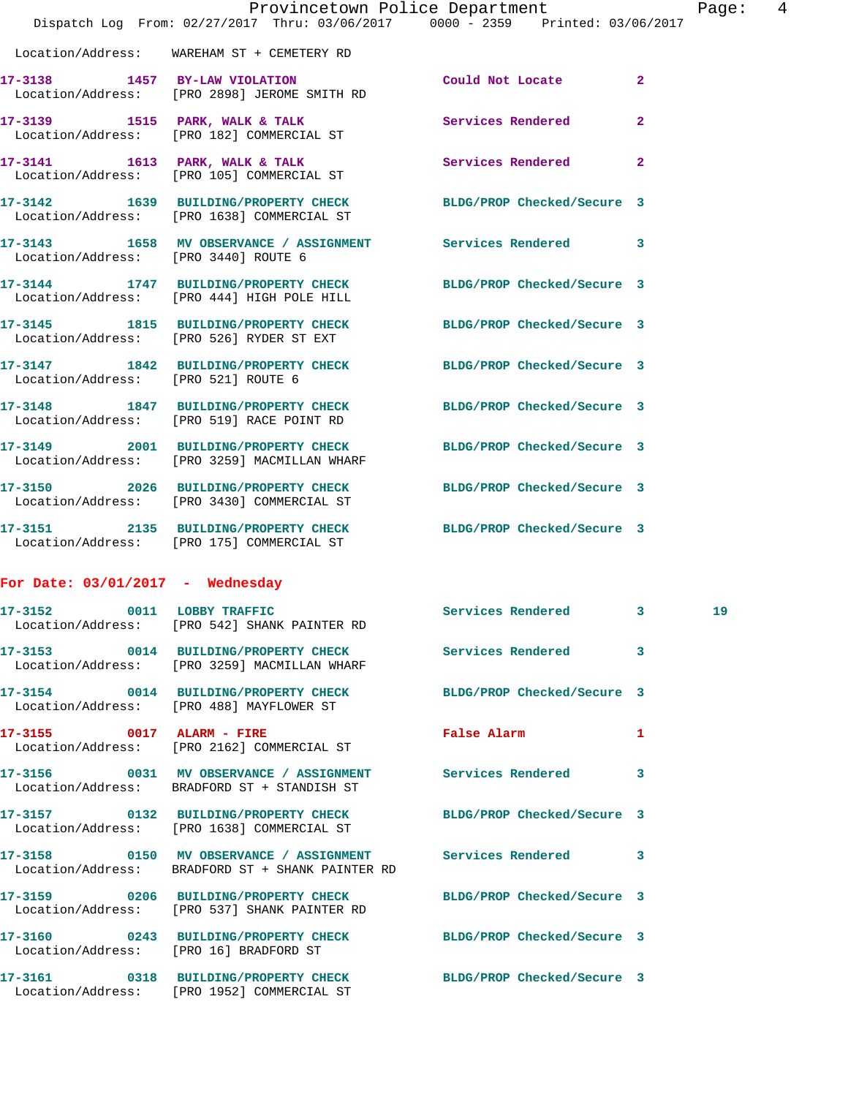|                                     | Provincetown Police Department                                                                                  |                                     | Page |
|-------------------------------------|-----------------------------------------------------------------------------------------------------------------|-------------------------------------|------|
|                                     | Dispatch Log From: 02/27/2017 Thru: 03/06/2017 0000 - 2359 Printed: 03/06/2017                                  |                                     |      |
|                                     | Location/Address: WAREHAM ST + CEMETERY RD                                                                      |                                     |      |
|                                     | 17-3138 1457 BY-LAW VIOLATION<br>Location/Address: [PRO 2898] JEROME SMITH RD                                   | $\overline{2}$<br>Could Not Locate  |      |
|                                     | 17-3139 1515 PARK, WALK & TALK 1999 Services Rendered<br>Location/Address: [PRO 182] COMMERCIAL ST              | $\overline{a}$                      |      |
|                                     | 17-3141 1613 PARK, WALK & TALK<br>Location/Address: [PRO 105] COMMERCIAL ST                                     | Services Rendered<br>$\mathbf{2}$   |      |
|                                     | 17-3142 1639 BUILDING/PROPERTY CHECK<br>Location/Address: [PRO 1638] COMMERCIAL ST                              | BLDG/PROP Checked/Secure 3          |      |
|                                     | 17-3143 1658 MV OBSERVANCE / ASSIGNMENT Services Rendered<br>Location/Address: [PRO 3440] ROUTE 6               | 3                                   |      |
|                                     | 17-3144 1747 BUILDING/PROPERTY CHECK<br>Location/Address: [PRO 444] HIGH POLE HILL                              | BLDG/PROP Checked/Secure 3          |      |
|                                     | 17-3145 1815 BUILDING/PROPERTY CHECK<br>Location/Address: [PRO 526] RYDER ST EXT                                | BLDG/PROP Checked/Secure 3          |      |
| Location/Address: [PRO 521] ROUTE 6 | 17-3147 1842 BUILDING/PROPERTY CHECK BLDG/PROP Checked/Secure 3                                                 |                                     |      |
|                                     | 17-3148 1847 BUILDING/PROPERTY CHECK BLDG/PROP Checked/Secure 3<br>Location/Address: [PRO 519] RACE POINT RD    |                                     |      |
|                                     | 17-3149 2001 BUILDING/PROPERTY CHECK<br>Location/Address: [PRO 3259] MACMILLAN WHARF                            | BLDG/PROP Checked/Secure 3          |      |
|                                     | 17-3150 2026 BUILDING/PROPERTY CHECK<br>Location/Address: [PRO 3430] COMMERCIAL ST                              | BLDG/PROP Checked/Secure 3          |      |
|                                     | 17-3151 2135 BUILDING/PROPERTY CHECK BLDG/PROP Checked/Secure 3<br>Location/Address: [PRO 175] COMMERCIAL ST    |                                     |      |
| For Date: $03/01/2017$ - Wednesday  |                                                                                                                 |                                     |      |
| 17-3152                             | 0011 LOBBY TRAFFIC<br>Location/Address: [PRO 542] SHANK PAINTER RD                                              | Services Rendered<br>3 <sub>1</sub> | 19   |
|                                     | 17-3153 0014 BUILDING/PROPERTY CHECK<br>Location/Address: [PRO 3259] MACMILLAN WHARF                            | Services Rendered<br>3              |      |
|                                     | 17-3154 0014 BUILDING/PROPERTY CHECK BLDG/PROP Checked/Secure 3<br>Location/Address: [PRO 488] MAYFLOWER ST     |                                     |      |
|                                     | 17-3155 0017 ALARM - FIRE<br>Location/Address: [PRO 2162] COMMERCIAL ST                                         | False Alarm<br>1                    |      |
|                                     | Location/Address: BRADFORD ST + STANDISH ST                                                                     | 3                                   |      |
|                                     | 17-3157 0132 BUILDING/PROPERTY CHECK<br>Location/Address: [PRO 1638] COMMERCIAL ST                              | BLDG/PROP Checked/Secure 3          |      |
|                                     | 17-3158 0150 MV OBSERVANCE / ASSIGNMENT Services Rendered<br>Location/Address: BRADFORD ST + SHANK PAINTER RD   | 3                                   |      |
|                                     | 17-3159 0206 BUILDING/PROPERTY CHECK BLDG/PROP Checked/Secure 3<br>Location/Address: [PRO 537] SHANK PAINTER RD |                                     |      |
|                                     | 17-3160 0243 BUILDING/PROPERTY CHECK<br>Location/Address: [PRO 16] BRADFORD ST                                  | BLDG/PROP Checked/Secure 3          |      |
|                                     | 17-3161 0318 BUILDING/PROPERTY CHECK BLDG/PROP Checked/Secure 3                                                 |                                     |      |

Location/Address: [PRO 1952] COMMERCIAL ST

age: 4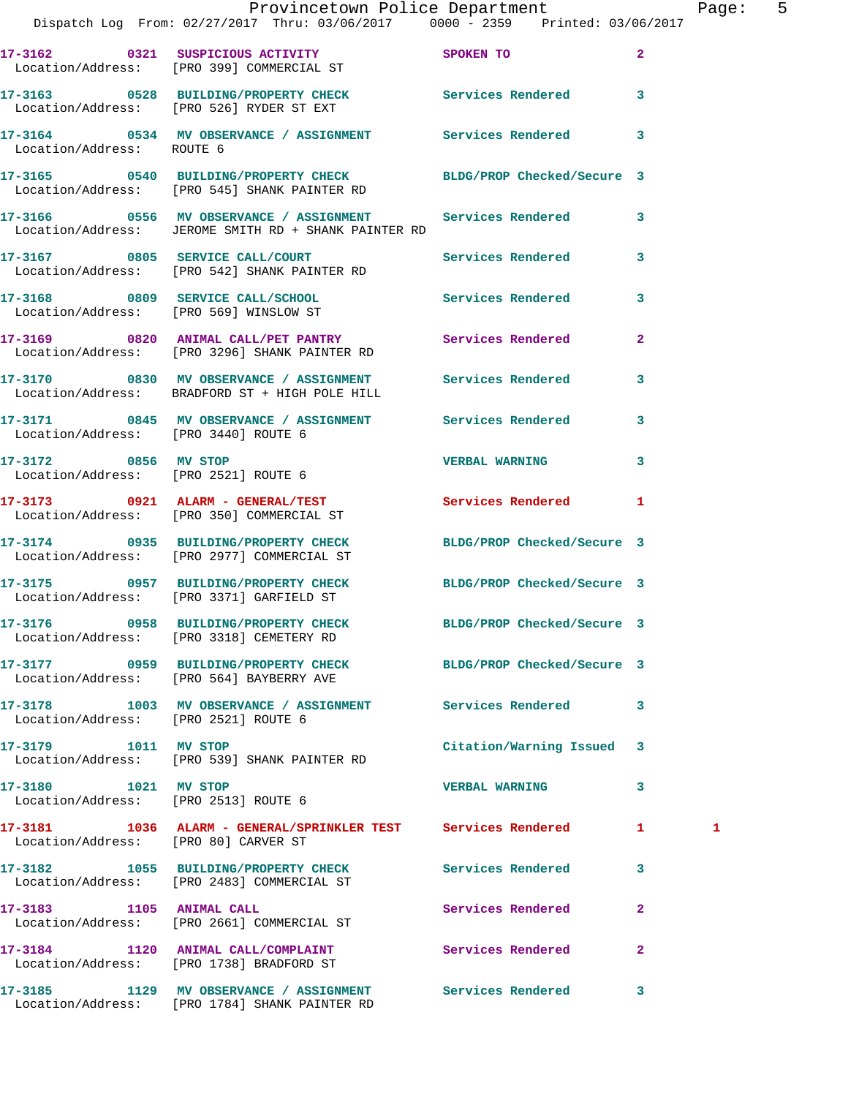|                                      | Provincetown Police Department<br>Dispatch Log From: 02/27/2017 Thru: 03/06/2017 0000 - 2359 Printed: 03/06/2017    |                            |              | Page: 5 |  |
|--------------------------------------|---------------------------------------------------------------------------------------------------------------------|----------------------------|--------------|---------|--|
|                                      | 17-3162 0321 SUSPICIOUS ACTIVITY SPOKEN TO                                                                          |                            | $\sim$ 2     |         |  |
|                                      | Location/Address: [PRO 399] COMMERCIAL ST                                                                           |                            |              |         |  |
|                                      | 17-3163 0528 BUILDING/PROPERTY CHECK Services Rendered 3<br>Location/Address: [PRO 526] RYDER ST EXT                |                            |              |         |  |
| Location/Address: ROUTE 6            | 17-3164 0534 MV OBSERVANCE / ASSIGNMENT Services Rendered 3                                                         |                            |              |         |  |
|                                      | 17-3165 0540 BUILDING/PROPERTY CHECK BLDG/PROP Checked/Secure 3<br>Location/Address: [PRO 545] SHANK PAINTER RD     |                            |              |         |  |
|                                      | 17-3166 0556 MV OBSERVANCE / ASSIGNMENT Services Rendered 3<br>Location/Address: JEROME SMITH RD + SHANK PAINTER RD |                            |              |         |  |
|                                      | 17-3167 0805 SERVICE CALL/COURT Services Rendered 3<br>Location/Address: [PRO 542] SHANK PAINTER RD                 |                            |              |         |  |
|                                      | 17-3168 0809 SERVICE CALL/SCHOOL Services Rendered 3<br>Location/Address: [PRO 569] WINSLOW ST                      |                            |              |         |  |
|                                      | 17-3169 0820 ANIMAL CALL/PET PANTRY<br>Location/Address: [PRO 3296] SHANK PAINTER RD                                |                            |              |         |  |
|                                      | 17-3170 0830 MV OBSERVANCE / ASSIGNMENT Services Rendered 3<br>Location/Address: BRADFORD ST + HIGH POLE HILL       |                            |              |         |  |
| Location/Address: [PRO 3440] ROUTE 6 | 17-3171 0845 MV OBSERVANCE / ASSIGNMENT Services Rendered 3                                                         |                            |              |         |  |
|                                      | 17-3172 0856 MV STOP<br>Location/Address: [PRO 2521] ROUTE 6                                                        | VERBAL WARNING 3           |              |         |  |
|                                      | 17-3173 0921 ALARM - GENERAL/TEST Services Rendered 1<br>Location/Address: [PRO 350] COMMERCIAL ST                  |                            |              |         |  |
|                                      | 17-3174 0935 BUILDING/PROPERTY CHECK BLDG/PROP Checked/Secure 3<br>Location/Address: [PRO 2977] COMMERCIAL ST       |                            |              |         |  |
|                                      | 17-3175 0957 BUILDING/PROPERTY CHECK BLDG/PROP Checked/Secure 3<br>Location/Address: [PRO 3371] GARFIELD ST         |                            |              |         |  |
|                                      | 17-3176 0958 BUILDING/PROPERTY CHECK<br>Location/Address: [PRO 3318] CEMETERY RD                                    | BLDG/PROP Checked/Secure 3 |              |         |  |
|                                      | 17-3177 0959 BUILDING/PROPERTY CHECK BLDG/PROP Checked/Secure 3<br>Location/Address: [PRO 564] BAYBERRY AVE         |                            |              |         |  |
|                                      | 17-3178 1003 MV OBSERVANCE / ASSIGNMENT Services Rendered 3<br>Location/Address: [PRO 2521] ROUTE 6                 |                            |              |         |  |
| 17-3179 1011 MV STOP                 | Location/Address: [PRO 539] SHANK PAINTER RD                                                                        | Citation/Warning Issued 3  |              |         |  |
| 17-3180 1021 MV STOP                 | Location/Address: [PRO 2513] ROUTE 6                                                                                | <b>VERBAL WARNING</b>      | 3            |         |  |
| Location/Address: [PRO 80] CARVER ST | 17-3181 1036 ALARM - GENERAL/SPRINKLER TEST Services Rendered 1                                                     |                            |              | 1       |  |
|                                      | 17-3182 1055 BUILDING/PROPERTY CHECK Services Rendered 3<br>Location/Address: [PRO 2483] COMMERCIAL ST              |                            |              |         |  |
|                                      | 17-3183 1105 ANIMAL CALL<br>Location/Address: [PRO 2661] COMMERCIAL ST                                              | Services Rendered          | $\mathbf{2}$ |         |  |
|                                      | 17-3184 1120 ANIMAL CALL/COMPLAINT Services Rendered 2<br>Location/Address: [PRO 1738] BRADFORD ST                  |                            |              |         |  |
|                                      | 17-3185 1129 MV OBSERVANCE / ASSIGNMENT Services Rendered 3                                                         |                            |              |         |  |

Location/Address: [PRO 1784] SHANK PAINTER RD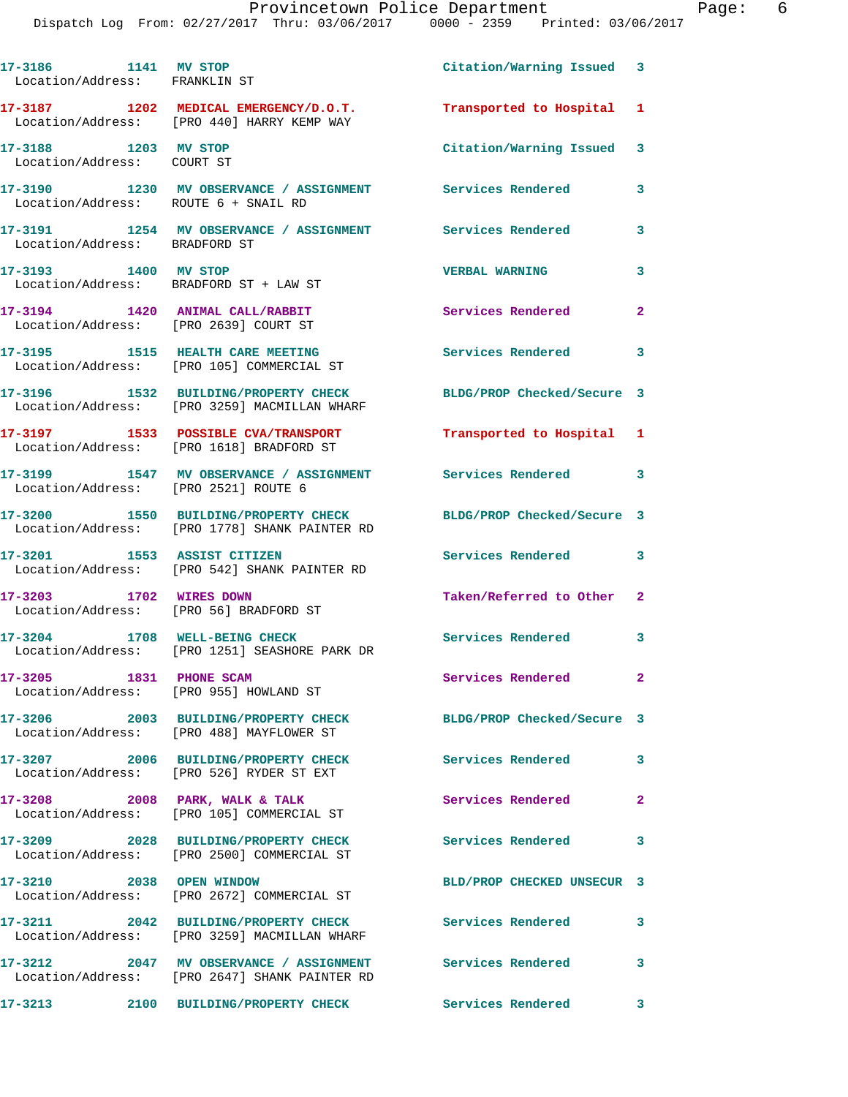| 17-3186 1141 MV STOP<br>Location/Address: FRANKLIN ST                    |                                                                                          | Citation/Warning Issued 3  |                         |
|--------------------------------------------------------------------------|------------------------------------------------------------------------------------------|----------------------------|-------------------------|
|                                                                          | 17-3187 1202 MEDICAL EMERGENCY/D.O.T.<br>Location/Address: [PRO 440] HARRY KEMP WAY      | Transported to Hospital    | 1                       |
| 17-3188 1203 MV STOP<br>Location/Address: COURT ST                       |                                                                                          | Citation/Warning Issued 3  |                         |
| Location/Address: ROUTE 6 + SNAIL RD                                     | 17-3190 1230 MV OBSERVANCE / ASSIGNMENT Services Rendered                                |                            | 3                       |
| Location/Address: BRADFORD ST                                            | 17-3191 1254 MV OBSERVANCE / ASSIGNMENT Services Rendered                                |                            | 3                       |
| 17-3193 1400 MV STOP<br>Location/Address: BRADFORD ST + LAW ST           |                                                                                          | <b>VERBAL WARNING</b>      | 3                       |
| 17-3194 1420 ANIMAL CALL/RABBIT<br>Location/Address: [PRO 2639] COURT ST |                                                                                          | Services Rendered          | $\mathbf{2}$            |
|                                                                          | 17-3195 1515 HEALTH CARE MEETING<br>Location/Address: [PRO 105] COMMERCIAL ST            | Services Rendered          | $\sim$ 3                |
|                                                                          | 17-3196 1532 BUILDING/PROPERTY CHECK<br>Location/Address: [PRO 3259] MACMILLAN WHARF     | BLDG/PROP Checked/Secure 3 |                         |
|                                                                          | 17-3197 1533 POSSIBLE CVA/TRANSPORT<br>Location/Address: [PRO 1618] BRADFORD ST          | Transported to Hospital 1  |                         |
| Location/Address: [PRO 2521] ROUTE 6                                     | 17-3199 1547 MV OBSERVANCE / ASSIGNMENT                                                  | Services Rendered          | $\sim$ 3                |
|                                                                          | 17-3200 1550 BUILDING/PROPERTY CHECK<br>Location/Address: [PRO 1778] SHANK PAINTER RD    | BLDG/PROP Checked/Secure 3 |                         |
| 17-3201 1553 ASSIST CITIZEN                                              | Location/Address: [PRO 542] SHANK PAINTER RD                                             | Services Rendered 3        |                         |
| 17-3203 1702 WIRES DOWN                                                  | Location/Address: [PRO 56] BRADFORD ST                                                   | Taken/Referred to Other 2  |                         |
|                                                                          | 17-3204 1708 WELL-BEING CHECK<br>Location/Address: [PRO 1251] SEASHORE PARK DR           | Services Rendered 3        |                         |
| 17-3205 1831 PHONE SCAM                                                  | Location/Address: [PRO 955] HOWLAND ST                                                   | Services Rendered          |                         |
|                                                                          | 17-3206 2003 BUILDING/PROPERTY CHECK<br>Location/Address: [PRO 488] MAYFLOWER ST         | BLDG/PROP Checked/Secure 3 |                         |
|                                                                          | 17-3207 2006 BUILDING/PROPERTY CHECK<br>Location/Address: [PRO 526] RYDER ST EXT         | <b>Services Rendered</b>   | $\overline{\mathbf{3}}$ |
|                                                                          | $17-3208$ 2008 PARK, WALK & TALK<br>Location/Address: [PRO 105] COMMERCIAL ST            | Services Rendered 2        |                         |
|                                                                          | 17-3209 2028 BUILDING/PROPERTY CHECK<br>Location/Address: [PRO 2500] COMMERCIAL ST       | <b>Services Rendered</b>   | 3                       |
| 17-3210 2038 OPEN WINDOW                                                 | Location/Address: [PRO 2672] COMMERCIAL ST                                               | BLD/PROP CHECKED UNSECUR 3 |                         |
|                                                                          | 17-3211 2042 BUILDING/PROPERTY CHECK<br>Location/Address: [PRO 3259] MACMILLAN WHARF     | Services Rendered          | 3                       |
|                                                                          | 17-3212 2047 MV OBSERVANCE / ASSIGNMENT<br>Location/Address: [PRO 2647] SHANK PAINTER RD | <b>Services Rendered</b>   | $\overline{\mathbf{3}}$ |
|                                                                          | 17-3213 2100 BUILDING/PROPERTY CHECK Services Rendered 3                                 |                            |                         |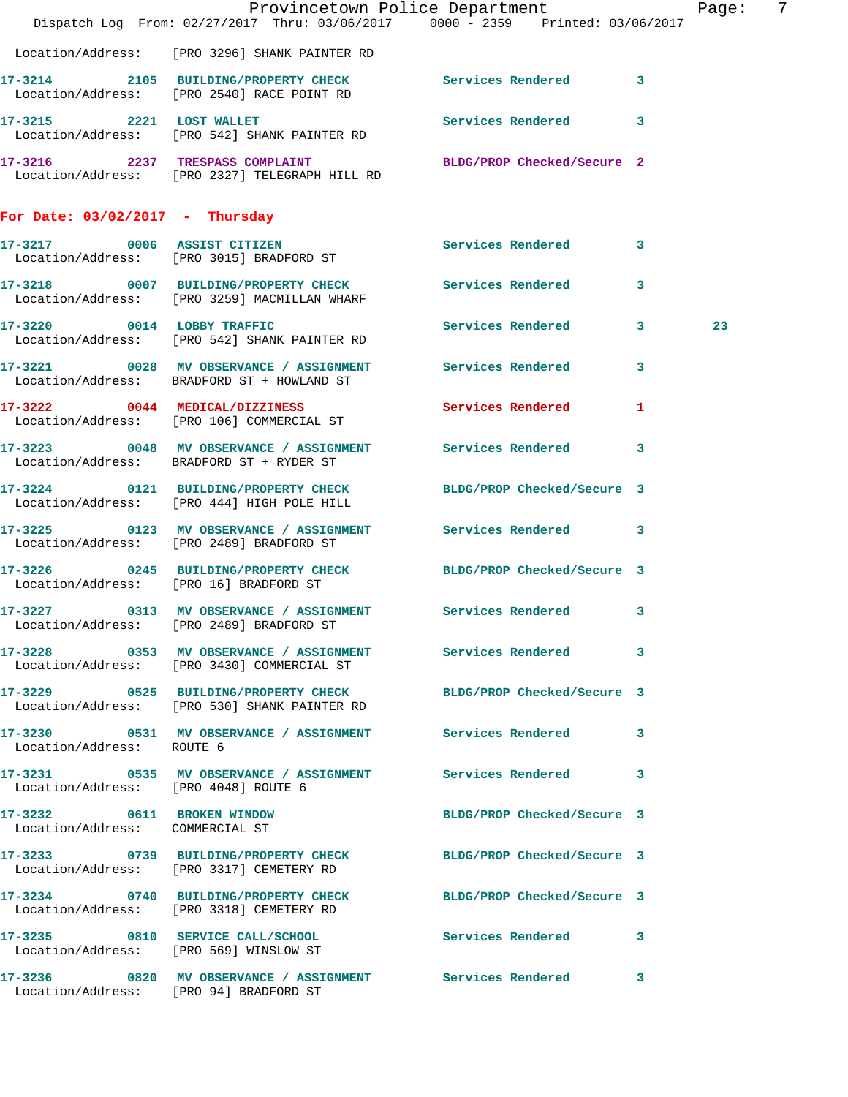|                                                               | Dispatch Log From: 02/27/2017 Thru: 03/06/2017 0000 - 2359 Printed: 03/06/2017                                  | Provincetown Police Department |              | Page: | 7 |
|---------------------------------------------------------------|-----------------------------------------------------------------------------------------------------------------|--------------------------------|--------------|-------|---|
|                                                               | Location/Address: [PRO 3296] SHANK PAINTER RD                                                                   |                                |              |       |   |
|                                                               | 17-3214 2105 BUILDING/PROPERTY CHECK Services Rendered 3<br>Location/Address: [PRO 2540] RACE POINT RD          |                                |              |       |   |
|                                                               | 17-3215 2221 LOST WALLET<br>Location/Address: [PRO 542] SHANK PAINTER RD                                        | Services Rendered 3            |              |       |   |
|                                                               | 17-3216 2237 TRESPASS COMPLAINT BLDG/PROP Checked/Secure 2<br>Location/Address: [PRO 2327] TELEGRAPH HILL RD    |                                |              |       |   |
| For Date: $03/02/2017$ - Thursday                             |                                                                                                                 |                                |              |       |   |
|                                                               | 17-3217 0006 ASSIST CITIZEN<br>Location/Address: [PRO 3015] BRADFORD ST                                         | Services Rendered 3            |              |       |   |
|                                                               | 17-3218 0007 BUILDING/PROPERTY CHECK Services Rendered<br>Location/Address: [PRO 3259] MACMILLAN WHARF          |                                | $\mathbf{3}$ |       |   |
|                                                               | 17-3220 0014 LOBBY TRAFFIC<br>Location/Address: [PRO 542] SHANK PAINTER RD                                      | Services Rendered 3            |              | 23    |   |
|                                                               | 17-3221 0028 MV OBSERVANCE / ASSIGNMENT Services Rendered<br>Location/Address: BRADFORD ST + HOWLAND ST         |                                | 3            |       |   |
|                                                               | 17-3222 0044 MEDICAL/DIZZINESS<br>Location/Address: [PRO 106] COMMERCIAL ST                                     | <b>Services Rendered</b>       | $\mathbf{1}$ |       |   |
|                                                               | 17-3223 0048 MV OBSERVANCE / ASSIGNMENT Services Rendered 3<br>Location/Address: BRADFORD ST + RYDER ST         |                                |              |       |   |
|                                                               | 17-3224 0121 BUILDING/PROPERTY CHECK BLDG/PROP Checked/Secure 3<br>Location/Address: [PRO 444] HIGH POLE HILL   |                                |              |       |   |
|                                                               | 17-3225 0123 MV OBSERVANCE / ASSIGNMENT Services Rendered 3<br>Location/Address: [PRO 2489] BRADFORD ST         |                                |              |       |   |
| Location/Address: [PRO 16] BRADFORD ST                        | 17-3226 0245 BUILDING/PROPERTY CHECK BLDG/PROP Checked/Secure 3                                                 |                                |              |       |   |
|                                                               | 17-3227 0313 MV OBSERVANCE / ASSIGNMENT Services Rendered 3<br>Location/Address: [PRO 2489] BRADFORD ST         |                                |              |       |   |
|                                                               | 17-3228 0353 MV OBSERVANCE / ASSIGNMENT Services Rendered 3<br>Location/Address: [PRO 3430] COMMERCIAL ST       |                                |              |       |   |
|                                                               | 17-3229 0525 BUILDING/PROPERTY CHECK BLDG/PROP Checked/Secure 3<br>Location/Address: [PRO 530] SHANK PAINTER RD |                                |              |       |   |
| Location/Address: ROUTE 6                                     | 17-3230 0531 MV OBSERVANCE / ASSIGNMENT Services Rendered 3                                                     |                                |              |       |   |
| Location/Address: [PRO 4048] ROUTE 6                          | 17-3231 0535 MV OBSERVANCE / ASSIGNMENT Services Rendered 3                                                     |                                |              |       |   |
| 17-3232 0611 BROKEN WINDOW<br>Location/Address: COMMERCIAL ST |                                                                                                                 | BLDG/PROP Checked/Secure 3     |              |       |   |
|                                                               | 17-3233 0739 BUILDING/PROPERTY CHECK BLDG/PROP Checked/Secure 3<br>Location/Address: [PRO 3317] CEMETERY RD     |                                |              |       |   |
|                                                               | 17-3234 0740 BUILDING/PROPERTY CHECK BLDG/PROP Checked/Secure 3<br>Location/Address: [PRO 3318] CEMETERY RD     |                                |              |       |   |
|                                                               | 17-3235 0810 SERVICE CALL/SCHOOL 5 Services Rendered 3<br>Location/Address: [PRO 569] WINSLOW ST                |                                |              |       |   |
|                                                               | 17-3236 0820 MV OBSERVANCE / ASSIGNMENT Services Rendered<br>Location/Address: [PRO 94] BRADFORD ST             |                                | 3            |       |   |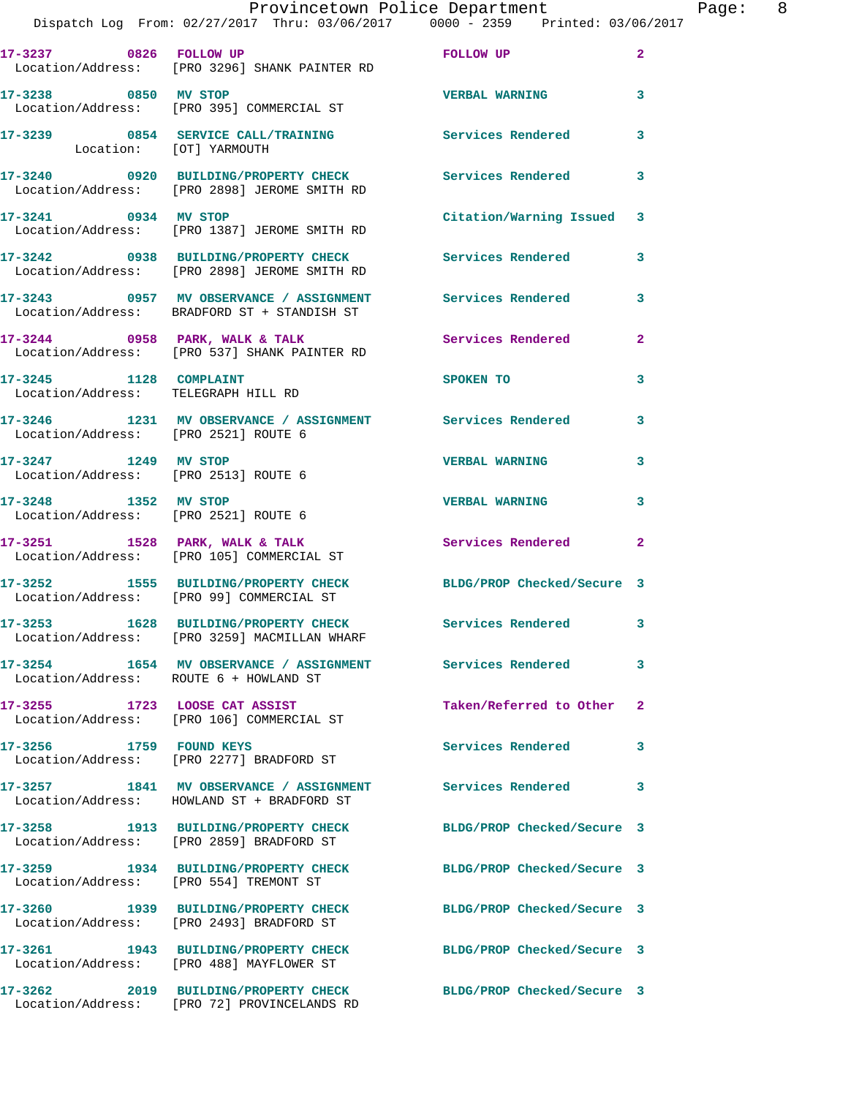|                                        | Provincetown Police Department The Page: 8<br>Dispatch Log From: 02/27/2017 Thru: 03/06/2017 0000 - 2359 Printed: 03/06/2017 |                            |              |
|----------------------------------------|------------------------------------------------------------------------------------------------------------------------------|----------------------------|--------------|
|                                        | 17-3237 0826 FOLLOW UP POLICING TO POLICING THE ROLLOW OF<br>Location/Address: [PRO 3296] SHANK PAINTER RD                   |                            | $\mathbf{2}$ |
| 17-3238 0850 MV STOP                   | Location/Address: [PRO 395] COMMERCIAL ST                                                                                    | <b>VERBAL WARNING</b> 3    |              |
|                                        | 17-3239 0854 SERVICE CALL/TRAINING Services Rendered<br>Location: [OT] YARMOUTH                                              |                            | $\mathbf{3}$ |
|                                        | 17-3240      0920  BUILDING/PROPERTY CHECK        Services Rendered<br>Location/Address:   [PRO 2898] JEROME SMITH RD        |                            | 3            |
|                                        | 17-3241 0934 MV STOP<br>Location/Address: [PRO 1387] JEROME SMITH RD                                                         | Citation/Warning Issued 3  |              |
|                                        | 17-3242 0938 BUILDING/PROPERTY CHECK Services Rendered<br>Location/Address: [PRO 2898] JEROME SMITH RD                       |                            | 3            |
|                                        | 17-3243 0957 MV OBSERVANCE / ASSIGNMENT Services Rendered 3<br>Location/Address: BRADFORD ST + STANDISH ST                   |                            |              |
|                                        | 17-3244 0958 PARK, WALK & TALK Services Rendered<br>Location/Address: [PRO 537] SHANK PAINTER RD                             |                            | $\mathbf{2}$ |
| 17-3245 1128 COMPLAINT                 | Location/Address: TELEGRAPH HILL RD                                                                                          | SPOKEN TO                  | 3            |
| Location/Address: [PRO 2521] ROUTE 6   | 17-3246 1231 MV OBSERVANCE / ASSIGNMENT Services Rendered                                                                    |                            | 3            |
| 17-3247 1249 MV STOP                   | Location/Address: [PRO 2513] ROUTE 6                                                                                         | <b>VERBAL WARNING</b>      | 3            |
| Location/Address: [PRO 2521] ROUTE 6   | 17-3248 1352 MV STOP                                                                                                         | <b>VERBAL WARNING</b>      | 3            |
|                                        | 17-3251 1528 PARK, WALK & TALK 1988 Services Rendered<br>Location/Address: [PRO 105] COMMERCIAL ST                           |                            | $\mathbf{2}$ |
|                                        | 17-3252 1555 BUILDING/PROPERTY CHECK BLDG/PROP Checked/Secure 3<br>Location/Address: [PRO 99] COMMERCIAL ST                  |                            |              |
|                                        | 17-3253 1628 BUILDING/PROPERTY CHECK<br>Location/Address: [PRO 3259] MACMILLAN WHARF                                         | <b>Services Rendered</b>   |              |
| Location/Address: ROUTE 6 + HOWLAND ST | 17-3254 1654 MV OBSERVANCE / ASSIGNMENT Services Rendered                                                                    |                            | 3            |
|                                        | 17-3255 1723 LOOSE CAT ASSIST<br>Location/Address: [PRO 106] COMMERCIAL ST                                                   | Taken/Referred to Other 2  |              |
|                                        | 17-3256 1759 FOUND KEYS<br>Location/Address: [PRO 2277] BRADFORD ST                                                          | <b>Services Rendered</b>   | 3            |
|                                        | 17-3257 1841 MV OBSERVANCE / ASSIGNMENT Services Rendered<br>Location/Address: HOWLAND ST + BRADFORD ST                      |                            | 3            |
|                                        | 17-3258 1913 BUILDING/PROPERTY CHECK<br>Location/Address: [PRO 2859] BRADFORD ST                                             | BLDG/PROP Checked/Secure 3 |              |
|                                        | 17-3259 1934 BUILDING/PROPERTY CHECK BLDG/PROP Checked/Secure 3<br>Location/Address: [PRO 554] TREMONT ST                    |                            |              |
|                                        | 17-3260 1939 BUILDING/PROPERTY CHECK<br>Location/Address: [PRO 2493] BRADFORD ST                                             | BLDG/PROP Checked/Secure 3 |              |
|                                        | 17-3261 1943 BUILDING/PROPERTY CHECK BLDG/PROP Checked/Secure 3<br>Location/Address: [PRO 488] MAYFLOWER ST                  |                            |              |
|                                        | 17-3262 2019 BUILDING/PROPERTY CHECK BLDG/PROP Checked/Secure 3<br>Location/Address: [PRO 72] PROVINCELANDS RD               |                            |              |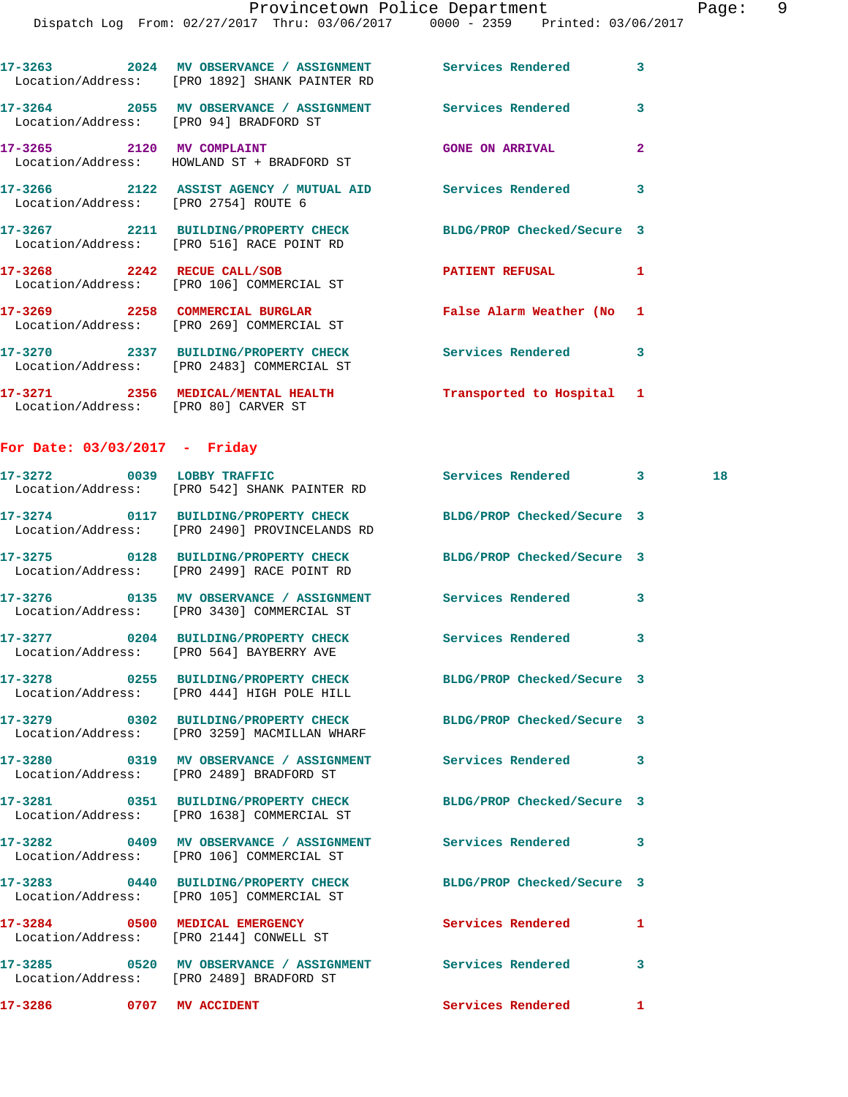|                                        | Dispatch Log From: 02/27/2017 Thru: 03/06/2017 0000 - 2359 Printed: 03/06/2017                                   |                            |                |    |
|----------------------------------------|------------------------------------------------------------------------------------------------------------------|----------------------------|----------------|----|
|                                        | 17-3263 2024 MV OBSERVANCE / ASSIGNMENT Services Rendered 3<br>Location/Address: [PRO 1892] SHANK PAINTER RD     |                            |                |    |
| Location/Address: [PRO 94] BRADFORD ST | 17-3264 2055 MV OBSERVANCE / ASSIGNMENT Services Rendered                                                        |                            | 3              |    |
|                                        | 17-3265 2120 MV COMPLAINT<br>Location/Address: HOWLAND ST + BRADFORD ST                                          | <b>GONE ON ARRIVAL</b>     | $\overline{2}$ |    |
| Location/Address: [PRO 2754] ROUTE 6   | 17-3266 2122 ASSIST AGENCY / MUTUAL AID Services Rendered 3                                                      |                            |                |    |
|                                        | 17-3267 2211 BUILDING/PROPERTY CHECK BLDG/PROP Checked/Secure 3<br>Location/Address: [PRO 516] RACE POINT RD     |                            |                |    |
|                                        | 17-3268 2242 RECUE CALL/SOB<br>Location/Address: [PRO 106] COMMERCIAL ST                                         | <b>PATIENT REFUSAL</b>     | 1              |    |
|                                        | 17-3269 2258 COMMERCIAL BURGLAR <b>False Alarm Weather</b> (No 1<br>Location/Address: [PRO 269] COMMERCIAL ST    |                            |                |    |
|                                        | 17-3270 2337 BUILDING/PROPERTY CHECK<br>Location/Address: [PRO 2483] COMMERCIAL ST                               | Services Rendered 3        |                |    |
| Location/Address: [PRO 80] CARVER ST   | 17-3271 2356 MEDICAL/MENTAL HEALTH Transported to Hospital 1                                                     |                            |                |    |
| For Date: $03/03/2017$ - Friday        |                                                                                                                  |                            |                |    |
|                                        | 17-3272 0039 LOBBY TRAFFIC<br>Location/Address: [PRO 542] SHANK PAINTER RD                                       | Services Rendered 3        |                | 18 |
|                                        | 17-3274 0117 BUILDING/PROPERTY CHECK BLDG/PROP Checked/Secure 3<br>Location/Address: [PRO 2490] PROVINCELANDS RD |                            |                |    |
|                                        | 17-3275 0128 BUILDING/PROPERTY CHECK BLDG/PROP Checked/Secure 3<br>Location/Address: [PRO 2499] RACE POINT RD    |                            |                |    |
|                                        | 17-3276   0135 MV OBSERVANCE / ASSIGNMENT   Services Rendered   3<br>Location/Address: [PRO 3430] COMMERCIAL ST  |                            |                |    |
|                                        | 17-3277 0204 BUILDING/PROPERTY CHECK Services Rendered<br>Location/Address: [PRO 564] BAYBERRY AVE               |                            | $\mathbf{3}$   |    |
|                                        | 17-3278 0255 BUILDING/PROPERTY CHECK BLDG/PROP Checked/Secure 3<br>Location/Address: [PRO 444] HIGH POLE HILL    |                            |                |    |
|                                        | 17-3279 0302 BUILDING/PROPERTY CHECK BLDG/PROP Checked/Secure 3<br>Location/Address: [PRO 3259] MACMILLAN WHARF  |                            |                |    |
|                                        | 17-3280 0319 MV OBSERVANCE / ASSIGNMENT Services Rendered 3<br>Location/Address: [PRO 2489] BRADFORD ST          |                            |                |    |
|                                        | 17-3281 0351 BUILDING/PROPERTY CHECK BLDG/PROP Checked/Secure 3<br>Location/Address: [PRO 1638] COMMERCIAL ST    |                            |                |    |
|                                        | 17-3282 0409 MV OBSERVANCE / ASSIGNMENT Services Rendered 3<br>Location/Address: [PRO 106] COMMERCIAL ST         |                            |                |    |
|                                        | 17-3283 0440 BUILDING/PROPERTY CHECK<br>Location/Address: [PRO 105] COMMERCIAL ST                                | BLDG/PROP Checked/Secure 3 |                |    |
|                                        | 17-3284 0500 MEDICAL EMERGENCY<br>Location/Address: [PRO 2144] CONWELL ST                                        | Services Rendered          | $\mathbf{1}$   |    |
|                                        | 17-3285 0520 MV OBSERVANCE / ASSIGNMENT Services Rendered<br>Location/Address: [PRO 2489] BRADFORD ST            |                            | 3              |    |
| 17-3286 0707 MV ACCIDENT               |                                                                                                                  | Services Rendered          | $\mathbf{1}$   |    |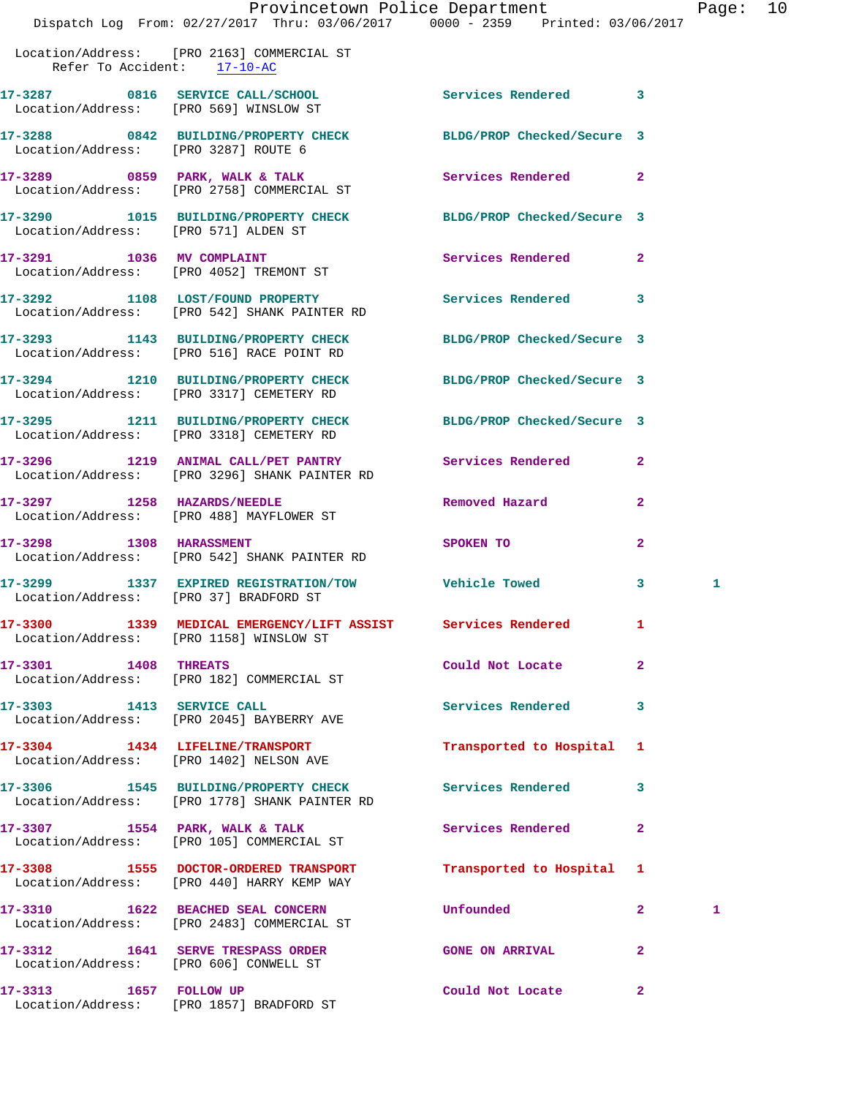|                                        | Provincetown Police Department                                                                                               |                            |              | Page: 10 |  |
|----------------------------------------|------------------------------------------------------------------------------------------------------------------------------|----------------------------|--------------|----------|--|
|                                        | Dispatch Log From: 02/27/2017 Thru: 03/06/2017 0000 - 2359 Printed: 03/06/2017<br>Location/Address: [PRO 2163] COMMERCIAL ST |                            |              |          |  |
| Refer To Accident: 17-10-AC            |                                                                                                                              |                            |              |          |  |
|                                        | 17-3287 0816 SERVICE CALL/SCHOOL Services Rendered 3<br>Location/Address: [PRO 569] WINSLOW ST                               |                            |              |          |  |
|                                        | 17-3288 0842 BUILDING/PROPERTY CHECK BLDG/PROP Checked/Secure 3<br>Location/Address: [PRO 3287] ROUTE 6                      |                            |              |          |  |
|                                        | 17-3289 0859 PARK, WALK & TALK (Services Rendered 2<br>Location/Address: [PRO 2758] COMMERCIAL ST                            |                            |              |          |  |
| Location/Address: [PRO 571] ALDEN ST   | 17-3290 1015 BUILDING/PROPERTY CHECK BLDG/PROP Checked/Secure 3                                                              |                            |              |          |  |
|                                        | 17-3291 1036 MV COMPLAINT<br>Location/Address: [PRO 4052] TREMONT ST                                                         | Services Rendered 2        |              |          |  |
|                                        | 17-3292 1108 LOST/FOUND PROPERTY Services Rendered 3<br>Location/Address: [PRO 542] SHANK PAINTER RD                         |                            |              |          |  |
|                                        | 17-3293 1143 BUILDING/PROPERTY CHECK<br>Location/Address: [PRO 516] RACE POINT RD                                            | BLDG/PROP Checked/Secure 3 |              |          |  |
|                                        | 17-3294 1210 BUILDING/PROPERTY CHECK BLDG/PROP Checked/Secure 3<br>Location/Address: [PRO 3317] CEMETERY RD                  |                            |              |          |  |
|                                        | 17-3295 1211 BUILDING/PROPERTY CHECK BLDG/PROP Checked/Secure 3<br>Location/Address: [PRO 3318] CEMETERY RD                  |                            |              |          |  |
|                                        | 17-3296 1219 ANIMAL CALL/PET PANTRY Services Rendered 2<br>Location/Address: [PRO 3296] SHANK PAINTER RD                     |                            |              |          |  |
|                                        | 17-3297 1258 HAZARDS/NEEDLE<br>Location/Address: [PRO 488] MAYFLOWER ST                                                      | Removed Hazard             | $\mathbf{2}$ |          |  |
| 17-3298 1308 HARASSMENT                | Location/Address: [PRO 542] SHANK PAINTER RD                                                                                 | SPOKEN TO                  | $\mathbf{2}$ |          |  |
| Location/Address: [PRO 37] BRADFORD ST | 17-3299 1337 EXPIRED REGISTRATION/TOW Vehicle Towed                                                                          |                            | $\mathbf{3}$ | 1        |  |
|                                        | 17-3300 1339 MEDICAL EMERGENCY/LIFT ASSIST Services Rendered 1<br>Location/Address: [PRO 1158] WINSLOW ST                    |                            |              |          |  |
|                                        | 17-3301 1408 THREATS<br>Location/Address: [PRO 182] COMMERCIAL ST                                                            | Could Not Locate           | $\mathbf{2}$ |          |  |
| 17-3303 1413 SERVICE CALL              | Location/Address: [PRO 2045] BAYBERRY AVE                                                                                    | Services Rendered 3        |              |          |  |
|                                        | 17-3304 1434 LIFELINE/TRANSPORT<br>Location/Address: [PRO 1402] NELSON AVE                                                   | Transported to Hospital 1  |              |          |  |
|                                        | 17-3306 1545 BUILDING/PROPERTY CHECK<br>Location/Address: [PRO 1778] SHANK PAINTER RD                                        | Services Rendered 3        |              |          |  |
|                                        | 17-3307 1554 PARK, WALK & TALK<br>Location/Address: [PRO 105] COMMERCIAL ST                                                  | Services Rendered          | $\mathbf{2}$ |          |  |
|                                        | 17-3308 1555 DOCTOR-ORDERED TRANSPORT<br>Location/Address: [PRO 440] HARRY KEMP WAY                                          | Transported to Hospital 1  |              |          |  |
|                                        | 17-3310 1622 BEACHED SEAL CONCERN<br>Location/Address: [PRO 2483] COMMERCIAL ST                                              | Unfounded                  | $\mathbf{2}$ | 1        |  |
| Location/Address: [PRO 606] CONWELL ST | 17-3312 1641 SERVE TRESPASS ORDER                                                                                            | <b>GONE ON ARRIVAL</b>     | $\mathbf{2}$ |          |  |
|                                        |                                                                                                                              |                            |              |          |  |

**17-3313 1657 FOLLOW UP Could Not Locate 2** 

Location/Address: [PRO 1857] BRADFORD ST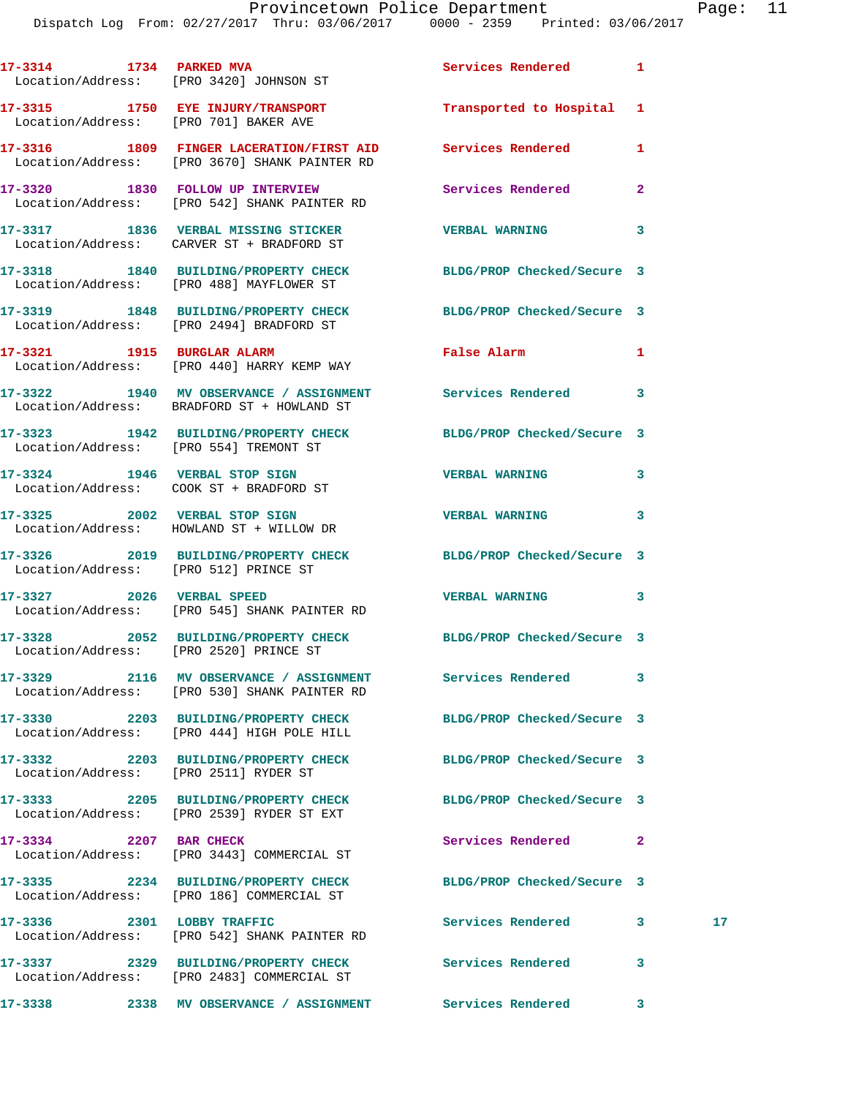|                            | 17-3314 1734 PARKED MVA<br>Location/Address: [PRO 3420] JOHNSON ST                                          | Services Rendered          | $\mathbf{1}$ |                 |
|----------------------------|-------------------------------------------------------------------------------------------------------------|----------------------------|--------------|-----------------|
|                            | 17-3315 1750 EYE INJURY/TRANSPORT Transported to Hospital 1<br>Location/Address: [PRO 701] BAKER AVE        |                            |              |                 |
|                            | 17-3316 1809 FINGER LACERATION/FIRST AID Services Rendered<br>Location/Address: [PRO 3670] SHANK PAINTER RD |                            | 1            |                 |
|                            | 17-3320 1830 FOLLOW UP INTERVIEW<br>Location/Address: [PRO 542] SHANK PAINTER RD                            | Services Rendered          | $\mathbf{2}$ |                 |
|                            | 17-3317 1836 VERBAL MISSING STICKER<br>Location/Address: CARVER ST + BRADFORD ST                            | <b>VERBAL WARNING</b>      | 3            |                 |
|                            | 17-3318 1840 BUILDING/PROPERTY CHECK<br>Location/Address: [PRO 488] MAYFLOWER ST                            | BLDG/PROP Checked/Secure 3 |              |                 |
|                            | 17-3319 1848 BUILDING/PROPERTY CHECK<br>Location/Address: [PRO 2494] BRADFORD ST                            | BLDG/PROP Checked/Secure 3 |              |                 |
|                            | 17-3321 1915 BURGLAR ALARM<br>Location/Address: [PRO 440] HARRY KEMP WAY                                    | False Alarm                | 1            |                 |
|                            | 17-3322 1940 MV OBSERVANCE / ASSIGNMENT Services Rendered 3<br>Location/Address: BRADFORD ST + HOWLAND ST   |                            |              |                 |
|                            | 17-3323 1942 BUILDING/PROPERTY CHECK BLDG/PROP Checked/Secure 3<br>Location/Address: [PRO 554] TREMONT ST   |                            |              |                 |
|                            | 17-3324 1946 VERBAL STOP SIGN<br>Location/Address: COOK ST + BRADFORD ST                                    | <b>VERBAL WARNING</b>      | 3            |                 |
|                            | 17-3325 2002 VERBAL STOP SIGN<br>Location/Address: HOWLAND ST + WILLOW DR                                   | <b>VERBAL WARNING</b>      | 3            |                 |
|                            | 17-3326 2019 BUILDING/PROPERTY CHECK BLDG/PROP Checked/Secure 3<br>Location/Address: [PRO 512] PRINCE ST    |                            |              |                 |
|                            | 17-3327 2026 VERBAL SPEED<br>Location/Address: [PRO 545] SHANK PAINTER RD                                   | <b>VERBAL WARNING</b>      | 3            |                 |
|                            | 17-3328 2052 BUILDING/PROPERTY CHECK BLDG/PROP Checked/Secure 3<br>Location/Address: [PRO 2520] PRINCE ST   |                            |              |                 |
|                            | 17-3329 2116 MV OBSERVANCE / ASSIGNMENT<br>Location/Address: [PRO 530] SHANK PAINTER RD                     | Services Rendered          | 3            |                 |
|                            | 17-3330 2203 BUILDING/PROPERTY CHECK<br>Location/Address: [PRO 444] HIGH POLE HILL                          | BLDG/PROP Checked/Secure 3 |              |                 |
|                            | 17-3332 2203 BUILDING/PROPERTY CHECK<br>Location/Address: [PRO 2511] RYDER ST                               | BLDG/PROP Checked/Secure 3 |              |                 |
|                            | 17-3333 2205 BUILDING/PROPERTY CHECK<br>Location/Address: [PRO 2539] RYDER ST EXT                           | BLDG/PROP Checked/Secure 3 |              |                 |
| 17-3334 2207 BAR CHECK     | Location/Address: [PRO 3443] COMMERCIAL ST                                                                  | Services Rendered          | 2            |                 |
|                            | 17-3335 2234 BUILDING/PROPERTY CHECK<br>Location/Address: [PRO 186] COMMERCIAL ST                           | BLDG/PROP Checked/Secure 3 |              |                 |
| 17-3336 2301 LOBBY TRAFFIC | Location/Address: [PRO 542] SHANK PAINTER RD                                                                | Services Rendered          | 3            | 17 <sub>1</sub> |
|                            | 17-3337 2329 BUILDING/PROPERTY CHECK<br>Location/Address: [PRO 2483] COMMERCIAL ST                          | <b>Services Rendered</b>   | 3            |                 |
| 17-3338                    |                                                                                                             |                            | 3            |                 |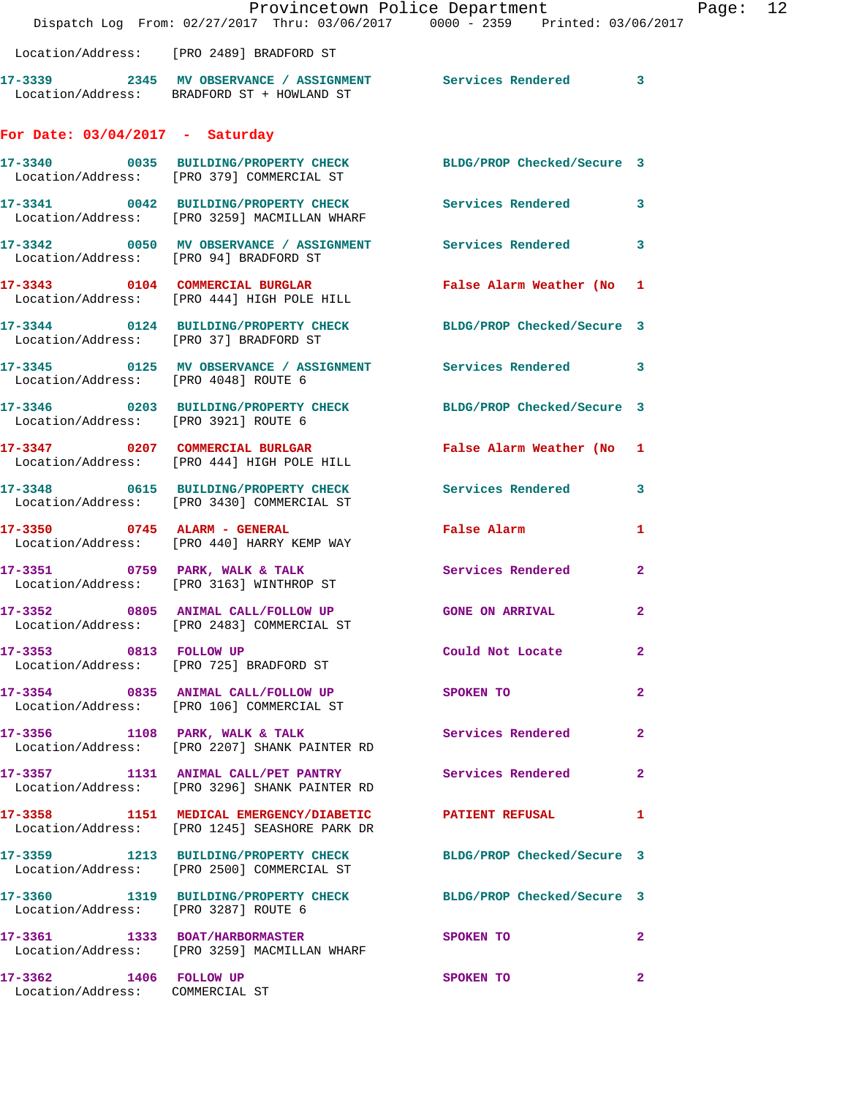|                                                           | Dispatch Log From: 02/27/2017 Thru: 03/06/2017 0000 - 2359 Printed: 03/06/2017                                | Provincetown Police Department | Page: 12       |
|-----------------------------------------------------------|---------------------------------------------------------------------------------------------------------------|--------------------------------|----------------|
|                                                           | Location/Address: [PRO 2489] BRADFORD ST                                                                      |                                |                |
|                                                           | 17-3339 2345 MV OBSERVANCE / ASSIGNMENT Services Rendered 3<br>Location/Address: BRADFORD ST + HOWLAND ST     |                                |                |
| For Date: $03/04/2017$ - Saturday                         |                                                                                                               |                                |                |
|                                                           | 17-3340 0035 BUILDING/PROPERTY CHECK BLDG/PROP Checked/Secure 3<br>Location/Address: [PRO 379] COMMERCIAL ST  |                                |                |
|                                                           | 17-3341 0042 BUILDING/PROPERTY CHECK Services Rendered 3<br>Location/Address: [PRO 3259] MACMILLAN WHARF      |                                |                |
|                                                           | 17-3342 0050 MV OBSERVANCE / ASSIGNMENT Services Rendered 3<br>Location/Address: [PRO 94] BRADFORD ST         |                                |                |
|                                                           | 17-3343 0104 COMMERCIAL BURGLAR False Alarm Weather (No 1<br>Location/Address: [PRO 444] HIGH POLE HILL       |                                |                |
|                                                           | 17-3344 0124 BUILDING/PROPERTY CHECK BLDG/PROP Checked/Secure 3<br>Location/Address: [PRO 37] BRADFORD ST     |                                |                |
|                                                           | 17-3345 0125 MV OBSERVANCE / ASSIGNMENT Services Rendered 3<br>Location/Address: [PRO 4048] ROUTE 6           |                                |                |
| Location/Address: [PRO 3921] ROUTE 6                      | 17-3346 0203 BUILDING/PROPERTY CHECK BLDG/PROP Checked/Secure 3                                               |                                |                |
|                                                           | 17-3347 0207 COMMERCIAL BURLGAR<br>Location/Address: [PRO 444] HIGH POLE HILL                                 | False Alarm Weather (No 1      |                |
|                                                           | 17-3348 0615 BUILDING/PROPERTY CHECK Services Rendered 3<br>Location/Address: [PRO 3430] COMMERCIAL ST        |                                |                |
|                                                           | 17-3350 0745 ALARM - GENERAL<br>Location/Address: [PRO 440] HARRY KEMP WAY                                    | <b>False Alarm</b>             | 1              |
|                                                           | 17-3351 0759 PARK, WALK & TALK<br>Location/Address: [PRO 3163] WINTHROP ST                                    | Services Rendered              | $\overline{2}$ |
|                                                           | 17-3352 0805 ANIMAL CALL/FOLLOW UP GONE ON ARRIVAL<br>Location/Address: [PRO 2483] COMMERCIAL ST              | $\overline{2}$                 |                |
| 17-3353 0813 FOLLOW UP                                    | Location/Address: [PRO 725] BRADFORD ST                                                                       | Could Not Locate               | 2              |
|                                                           | 17-3354 0835 ANIMAL CALL/FOLLOW UP SPOKEN TO<br>Location/Address: [PRO 106] COMMERCIAL ST                     |                                | $\mathbf{2}$   |
|                                                           | 17-3356 1108 PARK, WALK & TALK 5 Services Rendered 2<br>Location/Address: [PRO 2207] SHANK PAINTER RD         |                                |                |
|                                                           | 17-3357 1131 ANIMAL CALL/PET PANTRY Services Rendered<br>Location/Address: [PRO 3296] SHANK PAINTER RD        | $\mathbf{2}$                   |                |
|                                                           | 17-3358 1151 MEDICAL EMERGENCY/DIABETIC PATIENT REFUSAL 1<br>Location/Address: [PRO 1245] SEASHORE PARK DR    |                                |                |
|                                                           | 17-3359 1213 BUILDING/PROPERTY CHECK BLDG/PROP Checked/Secure 3<br>Location/Address: [PRO 2500] COMMERCIAL ST |                                |                |
| Location/Address: [PRO 3287] ROUTE 6                      | 17-3360 1319 BUILDING/PROPERTY CHECK BLDG/PROP Checked/Secure 3                                               |                                |                |
|                                                           | 17-3361 1333 BOAT/HARBORMASTER<br>Location/Address: [PRO 3259] MACMILLAN WHARF                                | <b>SPOKEN TO</b>               | $\mathbf{2}$   |
| 17-3362 1406 FOLLOW UP<br>Location/Address: COMMERCIAL ST |                                                                                                               | SPOKEN TO                      | $\mathbf{2}$   |
|                                                           |                                                                                                               |                                |                |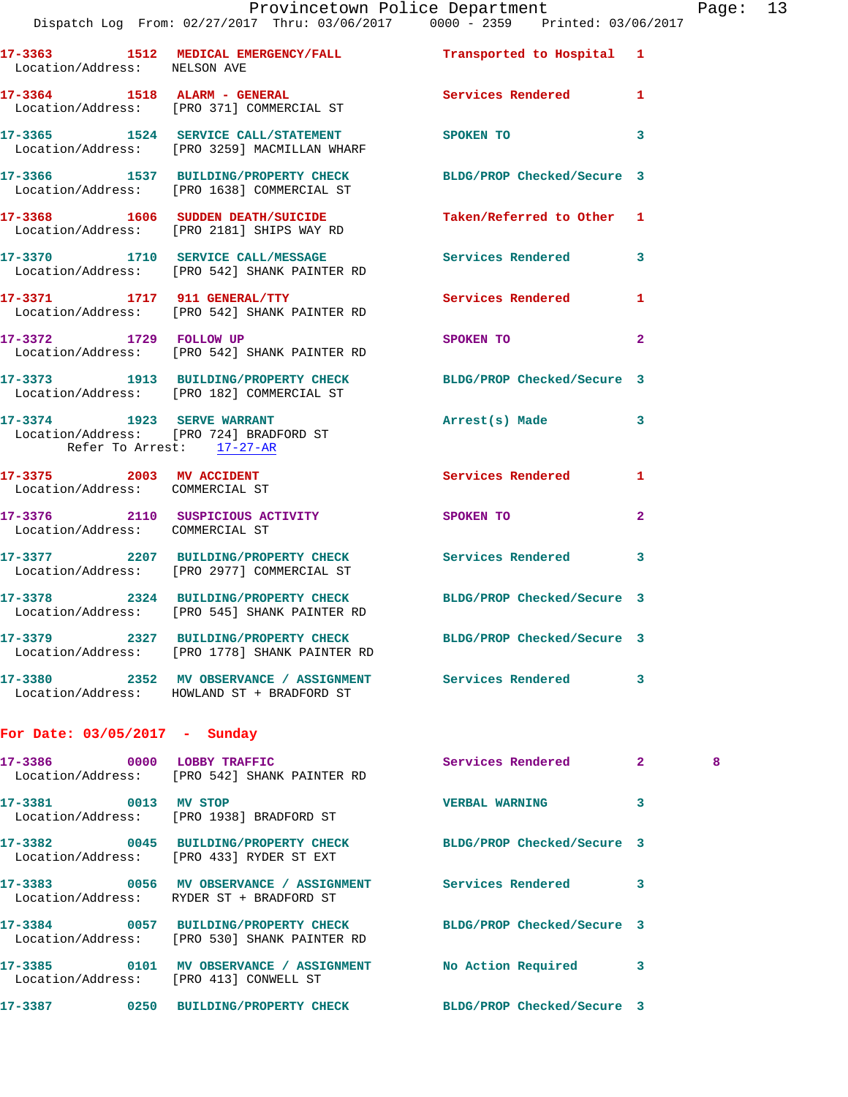|                                                             | Dispatch Log From: 02/27/2017 Thru: 03/06/2017 0000 - 2359 Printed: 03/06/2017                                   |                           |                   |
|-------------------------------------------------------------|------------------------------------------------------------------------------------------------------------------|---------------------------|-------------------|
| Location/Address: NELSON AVE                                | 17-3363 1512 MEDICAL EMERGENCY/FALL 1 Transported to Hospital 1                                                  |                           |                   |
|                                                             | 17-3364 1518 ALARM - GENERAL<br>Location/Address: [PRO 371] COMMERCIAL ST                                        | Services Rendered         | 1                 |
|                                                             | 17-3365 1524 SERVICE CALL/STATEMENT<br>Location/Address: [PRO 3259] MACMILLAN WHARF                              | SPOKEN TO                 | 3                 |
|                                                             | 17-3366 1537 BUILDING/PROPERTY CHECK BLDG/PROP Checked/Secure 3<br>Location/Address: [PRO 1638] COMMERCIAL ST    |                           |                   |
|                                                             | 17-3368 1606 SUDDEN DEATH/SUICIDE<br>Location/Address: [PRO 2181] SHIPS WAY RD                                   | Taken/Referred to Other 1 |                   |
|                                                             | 17-3370 1710 SERVICE CALL/MESSAGE Services Rendered<br>Location/Address: [PRO 542] SHANK PAINTER RD              |                           | 3                 |
|                                                             | 17-3371 1717 911 GENERAL/TTY<br>Location/Address: [PRO 542] SHANK PAINTER RD                                     | <b>Services Rendered</b>  | 1                 |
|                                                             | 17-3372 1729 FOLLOW UP<br>Location/Address: [PRO 542] SHANK PAINTER RD                                           | SPOKEN TO                 | $\mathbf{2}$      |
|                                                             | 17-3373 1913 BUILDING/PROPERTY CHECK BLDG/PROP Checked/Secure 3<br>Location/Address: [PRO 182] COMMERCIAL ST     |                           |                   |
| Refer To Arrest: 17-27-AR                                   | 17-3374 1923 SERVE WARRANT<br>Location/Address: [PRO 724] BRADFORD ST                                            | Arrest(s) Made            | 3                 |
| 17-3375 2003 MV ACCIDENT<br>Location/Address: COMMERCIAL ST |                                                                                                                  | <b>Services Rendered</b>  | 1                 |
| Location/Address: COMMERCIAL ST                             | 17-3376 2110 SUSPICIOUS ACTIVITY                                                                                 | SPOKEN TO                 | $\mathbf{2}$      |
|                                                             | 17-3377 2207 BUILDING/PROPERTY CHECK Services Rendered<br>Location/Address: [PRO 2977] COMMERCIAL ST             |                           | 3                 |
|                                                             | 17-3378 2324 BUILDING/PROPERTY CHECK BLDG/PROP Checked/Secure 3<br>Location/Address: [PRO 545] SHANK PAINTER RD  |                           |                   |
|                                                             | 17-3379 2327 BUILDING/PROPERTY CHECK BLDG/PROP Checked/Secure 3<br>Location/Address: [PRO 1778] SHANK PAINTER RD |                           |                   |
|                                                             | 17-3380 2352 MV OBSERVANCE / ASSIGNMENT Services Rendered<br>Location/Address: HOWLAND ST + BRADFORD ST          |                           | 3                 |
| For Date: $03/05/2017$ - Sunday                             |                                                                                                                  |                           |                   |
|                                                             | 17-3386 0000 LOBBY TRAFFIC<br>Location/Address: [PRO 542] SHANK PAINTER RD                                       | Services Rendered         | $\mathbf{2}$<br>8 |
| 17-3381 0013 MV STOP                                        | Location/Address: [PRO 1938] BRADFORD ST                                                                         | <b>VERBAL WARNING</b>     | 3                 |
|                                                             | 17-3382 0045 BUILDING/PROPERTY CHECK BLDG/PROP Checked/Secure 3<br>Location/Address: [PRO 433] RYDER ST EXT      |                           |                   |
|                                                             | 17-3383 6056 MV OBSERVANCE / ASSIGNMENT Services Rendered<br>Location/Address: RYDER ST + BRADFORD ST            |                           | 3                 |
|                                                             | 17-3384 0057 BUILDING/PROPERTY CHECK BLDG/PROP Checked/Secure 3<br>Location/Address: [PRO 530] SHANK PAINTER RD  |                           |                   |
|                                                             | 17-3385 0101 MV OBSERVANCE / ASSIGNMENT No Action Required<br>Location/Address: [PRO 413] CONWELL ST             |                           | 3                 |
|                                                             | 17-3387 0250 BUILDING/PROPERTY CHECK BLDG/PROP Checked/Secure 3                                                  |                           |                   |
|                                                             |                                                                                                                  |                           |                   |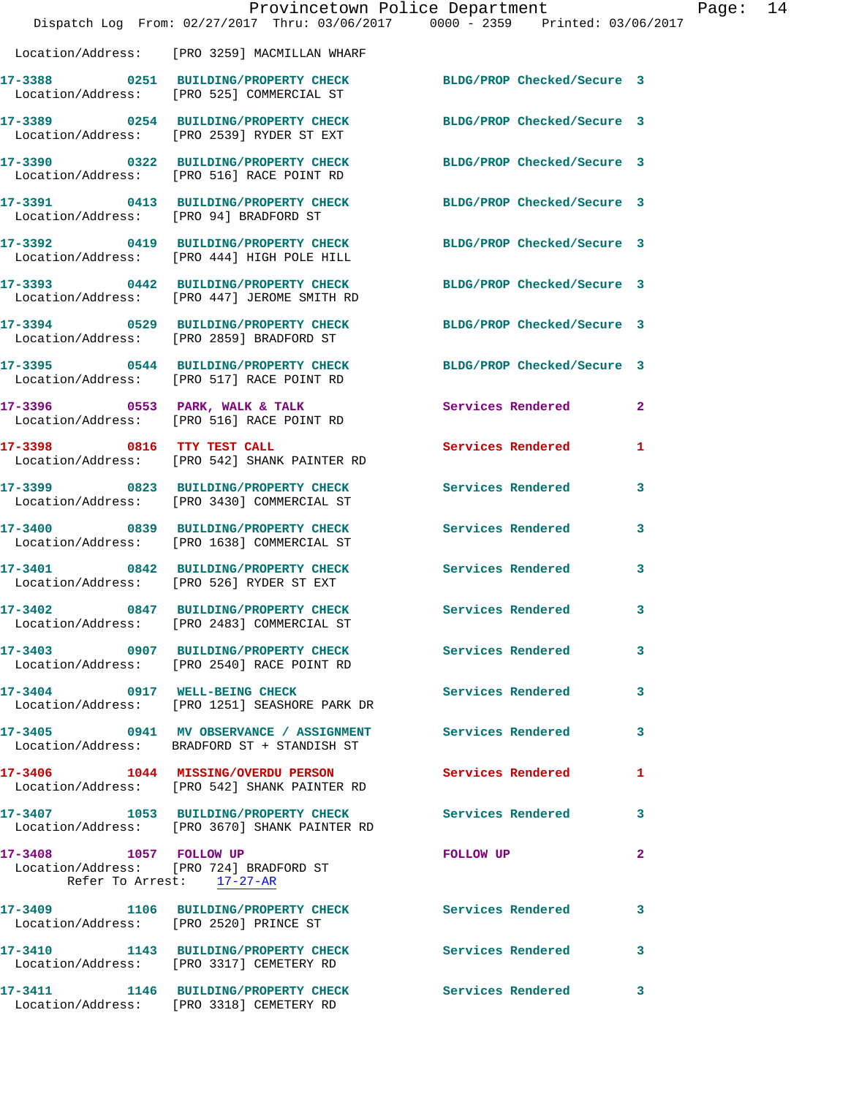|                                        |                                                                                                               | Provincetown Police Department<br>Dispatch Log From: 02/27/2017 Thru: 03/06/2017 0000 - 2359 Printed: 03/06/2017 | Page: 14 |
|----------------------------------------|---------------------------------------------------------------------------------------------------------------|------------------------------------------------------------------------------------------------------------------|----------|
|                                        | Location/Address: [PRO 3259] MACMILLAN WHARF                                                                  |                                                                                                                  |          |
|                                        | 17-3388 0251 BUILDING/PROPERTY CHECK BLDG/PROP Checked/Secure 3<br>Location/Address: [PRO 525] COMMERCIAL ST  |                                                                                                                  |          |
|                                        | 17-3389 0254 BUILDING/PROPERTY CHECK<br>Location/Address: [PRO 2539] RYDER ST EXT                             | BLDG/PROP Checked/Secure 3                                                                                       |          |
|                                        | 17-3390 0322 BUILDING/PROPERTY CHECK BLDG/PROP Checked/Secure 3<br>Location/Address: [PRO 516] RACE POINT RD  |                                                                                                                  |          |
| Location/Address: [PRO 94] BRADFORD ST | 17-3391 0413 BUILDING/PROPERTY CHECK BLDG/PROP Checked/Secure 3                                               |                                                                                                                  |          |
|                                        | 17-3392 0419 BUILDING/PROPERTY CHECK BLDG/PROP Checked/Secure 3<br>Location/Address: [PRO 444] HIGH POLE HILL |                                                                                                                  |          |
|                                        |                                                                                                               | BLDG/PROP Checked/Secure 3                                                                                       |          |
|                                        | 17-3394 0529 BUILDING/PROPERTY CHECK<br>Location/Address: [PRO 2859] BRADFORD ST                              | BLDG/PROP Checked/Secure 3                                                                                       |          |
|                                        | 17-3395 0544 BUILDING/PROPERTY CHECK<br>Location/Address: [PRO 517] RACE POINT RD                             | BLDG/PROP Checked/Secure 3                                                                                       |          |
|                                        | 17-3396 0553 PARK, WALK & TALK<br>Location/Address: [PRO 516] RACE POINT RD                                   | Services Rendered<br>$\mathbf{2}$                                                                                |          |
|                                        | 17-3398 0816 TTY TEST CALL<br>Location/Address: [PRO 542] SHANK PAINTER RD                                    | Services Rendered 1                                                                                              |          |
|                                        | 17-3399 0823 BUILDING/PROPERTY CHECK<br>Location/Address: [PRO 3430] COMMERCIAL ST                            | Services Rendered<br>3                                                                                           |          |
|                                        | 17-3400 0839 BUILDING/PROPERTY CHECK<br>Location/Address: [PRO 1638] COMMERCIAL ST                            | Services Rendered<br>$\mathbf{3}$                                                                                |          |
|                                        | 17-3401 0842 BUILDING/PROPERTY CHECK<br>Location/Address: [PRO 526] RYDER ST EXT                              | <b>Services Rendered</b><br>3                                                                                    |          |
| 17-3402                                | 0847 BUILDING/PROPERTY CHECK Services Rendered 3<br>Location/Address: [PRO 2483] COMMERCIAL ST                |                                                                                                                  |          |
|                                        | 17-3403 0907 BUILDING/PROPERTY CHECK Services Rendered<br>Location/Address: [PRO 2540] RACE POINT RD          | $\mathbf{3}$                                                                                                     |          |
|                                        | 17-3404 0917 WELL-BEING CHECK<br>Location/Address: [PRO 1251] SEASHORE PARK DR                                | Services Rendered 3                                                                                              |          |
|                                        | 17-3405 0941 MV OBSERVANCE / ASSIGNMENT Services Rendered<br>Location/Address: BRADFORD ST + STANDISH ST      | 3                                                                                                                |          |
|                                        | 17-3406 1044 MISSING/OVERDU PERSON<br>Location/Address: [PRO 542] SHANK PAINTER RD                            | Services Rendered<br>$\mathbf{1}$                                                                                |          |
|                                        | 17-3407 1053 BUILDING/PROPERTY CHECK Services Rendered<br>Location/Address: [PRO 3670] SHANK PAINTER RD       | 3                                                                                                                |          |
| 17-3408 1057 FOLLOW UP                 | Location/Address: [PRO 724] BRADFORD ST<br>Refer To Arrest: 17-27-AR                                          | FOLLOW UP<br>$\mathbf{2}$                                                                                        |          |
| Location/Address: [PRO 2520] PRINCE ST | 17-3409 1106 BUILDING/PROPERTY CHECK Services Rendered                                                        | 3                                                                                                                |          |
|                                        | 17-3410 1143 BUILDING/PROPERTY CHECK Services Rendered<br>Location/Address: [PRO 3317] CEMETERY RD            | $\mathbf{3}$                                                                                                     |          |
|                                        | 17-3411 1146 BUILDING/PROPERTY CHECK Services Rendered<br>Location/Address: [PRO 3318] CEMETERY RD            | 3                                                                                                                |          |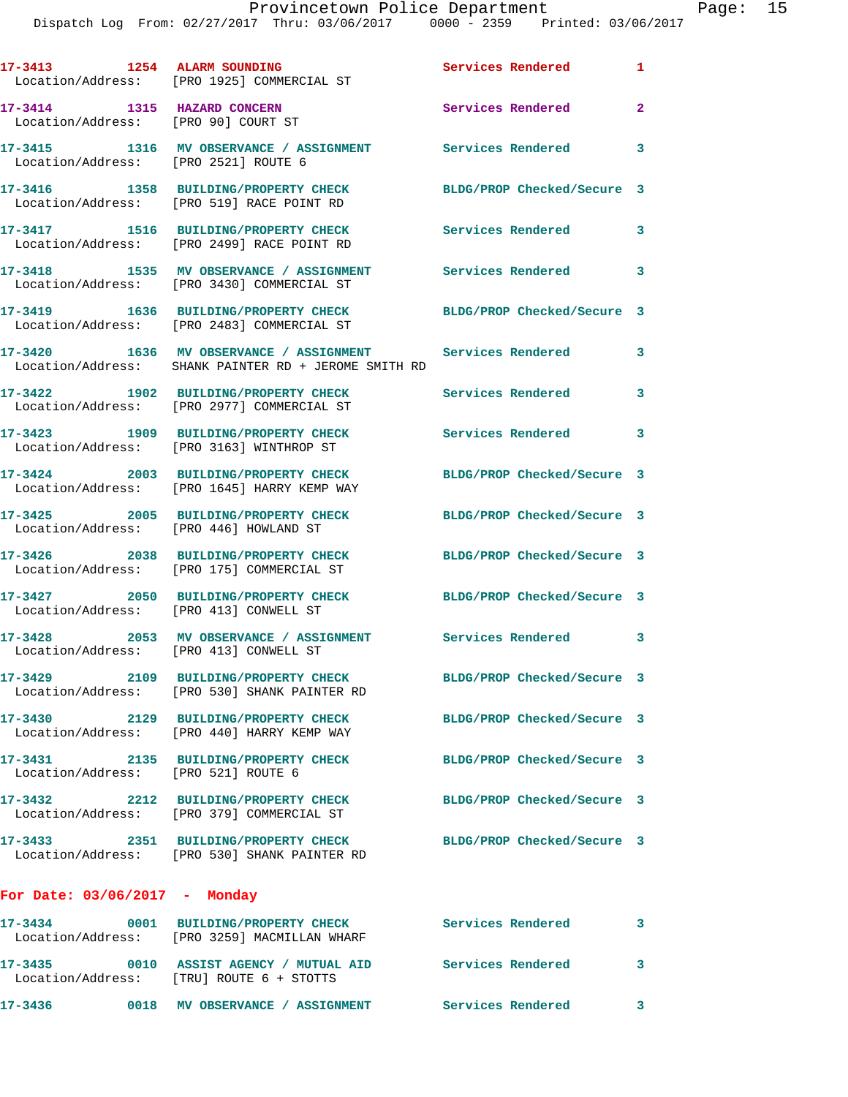| 17-3413 1254 ALARM SOUNDING                                        | Location/Address: [PRO 1925] COMMERCIAL ST                                                            | Services Rendered 1        |                |
|--------------------------------------------------------------------|-------------------------------------------------------------------------------------------------------|----------------------------|----------------|
| 17-3414 1315 HAZARD CONCERN<br>Location/Address: [PRO 90] COURT ST |                                                                                                       | Services Rendered          | $\overline{2}$ |
| Location/Address: [PRO 2521] ROUTE 6                               | 17-3415 1316 MV OBSERVANCE / ASSIGNMENT Services Rendered                                             |                            | $\mathbf{3}$   |
|                                                                    | 17-3416 1358 BUILDING/PROPERTY CHECK<br>Location/Address: [PRO 519] RACE POINT RD                     | BLDG/PROP Checked/Secure 3 |                |
|                                                                    | 17-3417 1516 BUILDING/PROPERTY CHECK<br>Location/Address: [PRO 2499] RACE POINT RD                    | <b>Services Rendered</b>   | 3              |
|                                                                    | 17-3418 1535 MV OBSERVANCE / ASSIGNMENT<br>Location/Address: [PRO 3430] COMMERCIAL ST                 | Services Rendered          | 3              |
|                                                                    | 17-3419 1636 BUILDING/PROPERTY CHECK<br>Location/Address: [PRO 2483] COMMERCIAL ST                    | BLDG/PROP Checked/Secure 3 |                |
|                                                                    | 17-3420 1636 MV OBSERVANCE / ASSIGNMENT<br>Location/Address: SHANK PAINTER RD + JEROME SMITH RD       | <b>Services Rendered</b>   | 3              |
|                                                                    | 17-3422 1902 BUILDING/PROPERTY CHECK<br>Location/Address: [PRO 2977] COMMERCIAL ST                    | Services Rendered          | 3              |
|                                                                    | 17-3423 1909 BUILDING/PROPERTY CHECK<br>Location/Address: [PRO 3163] WINTHROP ST                      | Services Rendered 3        |                |
|                                                                    | 17-3424 2003 BUILDING/PROPERTY CHECK<br>Location/Address: [PRO 1645] HARRY KEMP WAY                   | BLDG/PROP Checked/Secure 3 |                |
| Location/Address: [PRO 446] HOWLAND ST                             | 17-3425 2005 BUILDING/PROPERTY CHECK                                                                  | BLDG/PROP Checked/Secure 3 |                |
|                                                                    | 17-3426 2038 BUILDING/PROPERTY CHECK<br>Location/Address: [PRO 175] COMMERCIAL ST                     | BLDG/PROP Checked/Secure 3 |                |
| Location/Address: [PRO 413] CONWELL ST                             | 17-3427 2050 BUILDING/PROPERTY CHECK BLDG/PROP Checked/Secure 3                                       |                            |                |
|                                                                    | 17-3428 2053 MV OBSERVANCE / ASSIGNMENT Services Rendered 3<br>Location/Address: [PRO 413] CONWELL ST |                            |                |
|                                                                    | 17-3429 2109 BUILDING/PROPERTY CHECK<br>Location/Address: [PRO 530] SHANK PAINTER RD                  | BLDG/PROP Checked/Secure 3 |                |
|                                                                    | 17-3430 2129 BUILDING/PROPERTY CHECK<br>Location/Address: [PRO 440] HARRY KEMP WAY                    | BLDG/PROP Checked/Secure 3 |                |
| 17-3431<br>Location/Address: [PRO 521] ROUTE 6                     | 2135 BUILDING/PROPERTY CHECK                                                                          | BLDG/PROP Checked/Secure 3 |                |
|                                                                    | 17-3432 2212 BUILDING/PROPERTY CHECK<br>Location/Address: [PRO 379] COMMERCIAL ST                     | BLDG/PROP Checked/Secure 3 |                |
|                                                                    | 17-3433 2351 BUILDING/PROPERTY CHECK<br>Location/Address: [PRO 530] SHANK PAINTER RD                  | BLDG/PROP Checked/Secure 3 |                |
| For Date: $03/06/2017$ - Monday                                    |                                                                                                       |                            |                |
| 17-3434                                                            | 0001 BUILDING/PROPERTY CHECK                                                                          | Services Rendered          | $\sim$ 3       |

**17-3435 0010 ASSIST AGENCY / MUTUAL AID Services Rendered 3** 

**17-3436 0018 MV OBSERVANCE / ASSIGNMENT Services Rendered 3** 

Location/Address: [PRO 3259] MACMILLAN WHARF

Location/Address: [TRU] ROUTE 6 + STOTTS